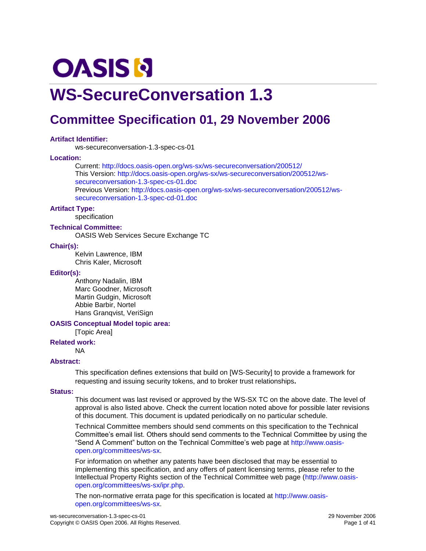# **OASIS N**

## **WS-SecureConversation 1.3**

## **Committee Specification 01, 29 November 2006**

#### **Artifact Identifier:**

ws-secureconversation-1.3-spec-cs-01

#### **Location:**

Current:<http://docs.oasis-open.org/ws-sx/ws-secureconversation/200512/> This Version: [http://docs.oasis-open.org/ws-sx/ws-secureconversation/200512/ws](http://docs.oasis-open.org/ws-sx/ws-secureconversation/200512/ws-secureconversation-1.3-spec-cs-01.doc)[secureconversation-1.3-spec-cs-01.doc](http://docs.oasis-open.org/ws-sx/ws-secureconversation/200512/ws-secureconversation-1.3-spec-cs-01.doc)  Previous Version: [http://docs.oasis-open.org/ws-sx/ws-secureconversation/200512/ws](http://docs.oasis-open.org/ws-sx/ws-secureconversation/200512/ws-secureconversation-1.3-spec-cd-01.doc)[secureconversation-1.3-spec-cd-01.doc](http://docs.oasis-open.org/ws-sx/ws-secureconversation/200512/ws-secureconversation-1.3-spec-cd-01.doc)

#### **Artifact Type:**

specification

**Technical Committee:**

OASIS Web Services Secure Exchange TC

#### **Chair(s):**

Kelvin Lawrence, IBM Chris Kaler, Microsoft

#### **Editor(s):**

Anthony Nadalin, IBM Marc Goodner, Microsoft Martin Gudgin, Microsoft Abbie Barbir, Nortel Hans Granqvist, VeriSign

#### **OASIS Conceptual Model topic area:**

[Topic Area]

#### **Related work:**

NA

#### **Abstract:**

This specification defines extensions that build on [\[WS-Security\]](#page-6-0) to provide a framework for requesting and issuing security tokens, and to broker trust relationships**.**

#### **Status:**

This document was last revised or approved by the WS-SX TC on the above date. The level of approval is also listed above. Check the current location noted above for possible later revisions of this document. This document is updated periodically on no particular schedule.

Technical Committee members should send comments on this specification to the Technical Committee's email list. Others should send comments to the Technical Committee by using the "Send A Comment" button on the Technical Committee's web page at [http://www.oasis](http://www.oasis-open.org/committees/ws-sx)[open.org/committees/ws-sx.](http://www.oasis-open.org/committees/ws-sx)

For information on whether any patents have been disclosed that may be essential to implementing this specification, and any offers of patent licensing terms, please refer to the Intellectual Property Rights section of the Technical Committee web page [\(http://www.oasis](http://www.oasis-open.org/committees/ws-sx/ipr.php)[open.org/committees/ws-sx/ipr.php.](http://www.oasis-open.org/committees/ws-sx/ipr.php)

The non-normative errata page for this specification is located at [http://www.oasis](http://www.oasis-open.org/committees/ws-sx)[open.org/committees/ws-sx.](http://www.oasis-open.org/committees/ws-sx)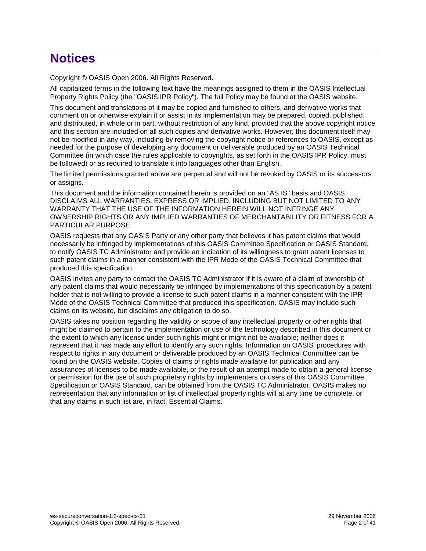## **Notices**

Copyright © OASIS Open 2006. All Rights Reserved.

All capitalized terms in the following text have the meanings assigned to them in the OASIS Intellectual Property Rights Policy (the "OASIS IPR Policy"). The full Policy may be found at the OASIS website.

This document and translations of it may be copied and furnished to others, and derivative works that comment on or otherwise explain it or assist in its implementation may be prepared, copied, published, and distributed, in whole or in part, without restriction of any kind, provided that the above copyright notice and this section are included on all such copies and derivative works. However, this document itself may not be modified in any way, including by removing the copyright notice or references to OASIS, except as needed for the purpose of developing any document or deliverable produced by an OASIS Technical Committee (in which case the rules applicable to copyrights, as set forth in the OASIS IPR Policy, must be followed) or as required to translate it into languages other than English.

The limited permissions granted above are perpetual and will not be revoked by OASIS or its successors or assigns.

This document and the information contained herein is provided on an "AS IS" basis and OASIS DISCLAIMS ALL WARRANTIES, EXPRESS OR IMPLIED, INCLUDING BUT NOT LIMITED TO ANY WARRANTY THAT THE USE OF THE INFORMATION HEREIN WILL NOT INFRINGE ANY OWNERSHIP RIGHTS OR ANY IMPLIED WARRANTIES OF MERCHANTABILITY OR FITNESS FOR A PARTICULAR PURPOSE.

OASIS requests that any OASIS Party or any other party that believes it has patent claims that would necessarily be infringed by implementations of this OASIS Committee Specification or OASIS Standard, to notify OASIS TC Administrator and provide an indication of its willingness to grant patent licenses to such patent claims in a manner consistent with the IPR Mode of the OASIS Technical Committee that produced this specification.

OASIS invites any party to contact the OASIS TC Administrator if it is aware of a claim of ownership of any patent claims that would necessarily be infringed by implementations of this specification by a patent holder that is not willing to provide a license to such patent claims in a manner consistent with the IPR Mode of the OASIS Technical Committee that produced this specification. OASIS may include such claims on its website, but disclaims any obligation to do so.

OASIS takes no position regarding the validity or scope of any intellectual property or other rights that might be claimed to pertain to the implementation or use of the technology described in this document or the extent to which any license under such rights might or might not be available; neither does it represent that it has made any effort to identify any such rights. Information on OASIS' procedures with respect to rights in any document or deliverable produced by an OASIS Technical Committee can be found on the OASIS website. Copies of claims of rights made available for publication and any assurances of licenses to be made available, or the result of an attempt made to obtain a general license or permission for the use of such proprietary rights by implementers or users of this OASIS Committee Specification or OASIS Standard, can be obtained from the OASIS TC Administrator. OASIS makes no representation that any information or list of intellectual property rights will at any time be complete, or that any claims in such list are, in fact, Essential Claims.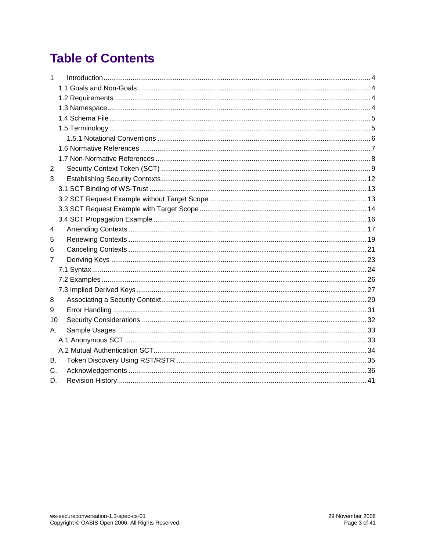## **Table of Contents**

| 1              |  |
|----------------|--|
|                |  |
|                |  |
|                |  |
|                |  |
|                |  |
|                |  |
|                |  |
|                |  |
| $\overline{2}$ |  |
| 3              |  |
|                |  |
|                |  |
|                |  |
|                |  |
| 4              |  |
| 5              |  |
| 6              |  |
| 7              |  |
|                |  |
|                |  |
|                |  |
| 8              |  |
| 9              |  |
| 10             |  |
| А.             |  |
|                |  |
|                |  |
| В.             |  |
| C.             |  |
| D.             |  |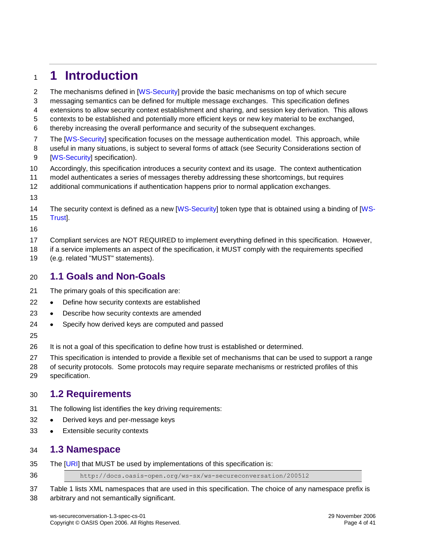### <span id="page-3-0"></span>**1 Introduction**

- 2 The mechanisms defined in [\[WS-Security\]](#page-6-0) provide the basic mechanisms on top of which secure
- messaging semantics can be defined for multiple message exchanges. This specification defines
- extensions to allow security context establishment and sharing, and session key derivation. This allows
- contexts to be established and potentially more efficient keys or new key material to be exchanged,
- thereby increasing the overall performance and security of the subsequent exchanges.
- 7 The [\[WS-Security\]](#page-6-0) specification focuses on the message authentication model. This approach, while useful in many situations, is subject to several forms of attack (see Security Considerations section of [\[WS-Security\]](#page-6-0) specification).
- Accordingly, this specification introduces a security context and its usage. The context authentication
- model authenticates a series of messages thereby addressing these shortcomings, but requires
- additional communications if authentication happens prior to normal application exchanges.
- 
- 14 The security context is defined as a new [\[WS-Security\]](#page-6-0) token type that is obtained using a binding of [\[WS-](#page-6-2)[Trust\]](#page-6-2).
- 
- Compliant services are NOT REQUIRED to implement everything defined in this specification. However,
- if a service implements an aspect of the specification, it MUST comply with the requirements specified
- (e.g. related "MUST" statements).

### <span id="page-3-1"></span>**1.1 Goals and Non-Goals**

- The primary goals of this specification are:
- 22 . Define how security contexts are established
- 23 . Describe how security contexts are amended
- 24 Specify how derived keys are computed and passed
- 

It is not a goal of this specification to define how trust is established or determined.

This specification is intended to provide a flexible set of mechanisms that can be used to support a range

 of security protocols. Some protocols may require separate mechanisms or restricted profiles of this specification.

### <span id="page-3-2"></span>**1.2 Requirements**

- The following list identifies the key driving requirements:
- 32 . Derived keys and per-message keys
- 33 Extensible security contexts

#### <span id="page-3-3"></span>**1.3 Namespace**

The [\[URI\]](#page-6-3) that MUST be used by implementations of this specification is:

http://docs.oasis-open.org/ws-sx/ws-secureconversation/200512

 Table 1 lists XML namespaces that are used in this specification. The choice of any namespace prefix is arbitrary and not semantically significant.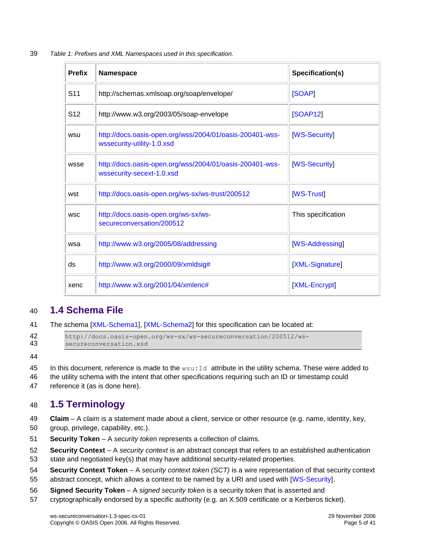39 *Table 1: Prefixes and XML Namespaces used in this specification.*

| <b>Prefix</b>   | Namespace                                                                              | Specification(s)    |
|-----------------|----------------------------------------------------------------------------------------|---------------------|
| S <sub>11</sub> | http://schemas.xmlsoap.org/soap/envelope/                                              | <b>SOAP1</b>        |
| S <sub>12</sub> | http://www.w3.org/2003/05/soap-envelope                                                | <b>[SOAP12]</b>     |
| wsu             | http://docs.oasis-open.org/wss/2004/01/oasis-200401-wss-<br>wssecurity-utility-1.0.xsd | <b>IWS-Security</b> |
| wsse            | http://docs.oasis-open.org/wss/2004/01/oasis-200401-wss-<br>wssecurity-secext-1.0.xsd  | [WS-Security]       |
| wst             | http://docs.oasis-open.org/ws-sx/ws-trust/200512                                       | <b>WS-Trust</b>     |
| <b>WSC</b>      | http://docs.oasis-open.org/ws-sx/ws-<br>secureconversation/200512                      | This specification  |
| wsa             | http://www.w3.org/2005/08/addressing                                                   | [WS-Addressing]     |
| ds              | http://www.w3.org/2000/09/xmldsig#                                                     | [XML-Signature]     |
| xenc            | http://www.w3.org/2001/04/xmlenc#                                                      | [XML-Encrypt]       |

### <span id="page-4-0"></span>40 **1.4 Schema File**

41 The schema [\[XML-Schema1\]](#page-7-3), [\[XML-Schema2\]](#page-7-3) for this specification can be located at:

42 http://docs.oasis-open.org/ws-sx/ws-secureconversation/200512/wssecureconversation.xsd

44

- 45 In this document, reference is made to the  $wsu:Id$  attribute in the utility schema. These were added to
- 46 the utility schema with the intent that other specifications requiring such an ID or timestamp could
- 47 reference it (as is done here).

### <span id="page-4-1"></span>48 **1.5 Terminology**

- 49 **Claim** A *claim* is a statement made about a client, service or other resource (e.g. name, identity, key,
- 50 group, privilege, capability, etc.).
- <span id="page-4-2"></span>51 **Security Token** – A *security token* represents a collection of claims.
- 52 **Security Context**  A *security context* is an abstract concept that refers to an established authentication
- 53 state and negotiated key(s) that may have additional security-related properties.
- 54 **Security Context Token** A *security context token (SCT)* is a wire representation of that security context
- 55 abstract concept, which allows a context to be named by a URI and used with [\[WS-Security\]](#page-6-0).
- 56 **Signed Security Token** A *signed security token* is a security token that is asserted and
- 57 cryptographically endorsed by a specific authority (e.g. an X.509 certificate or a Kerberos ticket).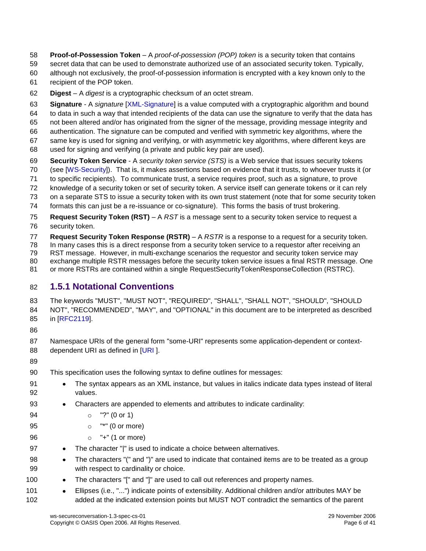- **Proof-of-Possession Token** A *proof-of-possession (POP) token* is a security token that contains
- secret data that can be used to demonstrate authorized use of an associated security token. Typically,
- although not exclusively, the proof-of-possession information is encrypted with a key known only to the
- recipient of the POP token.
- **Digest** A *digest* is a cryptographic checksum of an octet stream.
- **Signature** A *signature* [\[XML-Signature\]](#page-7-1) is a value computed with a cryptographic algorithm and bound to data in such a way that intended recipients of the data can use the signature to verify that the data has
- not been altered and/or has originated from the signer of the message, providing message integrity and
- authentication. The signature can be computed and verified with symmetric key algorithms, where the
- same key is used for signing and verifying, or with asymmetric key algorithms, where different keys are
- used for signing and verifying (a private and public key pair are used).
- **Security Token Service** A *security token service (STS)* is a Web service that issues security tokens
- (see [\[WS-Security\]](#page-6-0)). That is, it makes assertions based on evidence that it trusts, to whoever trusts it (or
- to specific recipients). To communicate trust, a service requires proof, such as a signature, to prove
- knowledge of a security token or set of security token. A service itself can generate tokens or it can rely
- on a separate STS to issue a security token with its own trust statement (note that for some security token
- formats this can just be a re-issuance or co-signature). This forms the basis of trust brokering.
- **Request Security Token (RST)** A *RST* is a message sent to a security token service to request a security token.
- **Request Security Token Response (RSTR)** A *RSTR* is a response to a request for a security token.
- In many cases this is a direct response from a security token service to a requestor after receiving an
- RST message. However, in multi-exchange scenarios the requestor and security token service may
- exchange multiple RSTR messages before the security token service issues a final RSTR message. One
- 81 or more RSTRs are contained within a single RequestSecurityTokenResponseCollection (RSTRC).

### <span id="page-5-0"></span>**1.5.1 Notational Conventions**

- The keywords "MUST", "MUST NOT", "REQUIRED", "SHALL", "SHALL NOT", "SHOULD", "SHOULD NOT", "RECOMMENDED", "MAY", and "OPTIONAL" in this document are to be interpreted as described in [RFC2119].
- 
- Namespace URIs of the general form "some-URI" represents some application-dependent or context-88 dependent URI as defined in [\[URI](#page-6-3)].
- 
- This specification uses the following syntax to define outlines for messages:
- 91 The syntax appears as an XML instance, but values in italics indicate data types instead of literal values.
- Characters are appended to elements and attributes to indicate cardinality:
- o "?" (0 or 1)
- o "\*" (0 or more)
- o "+" (1 or more)
- 97 The character "|" is used to indicate a choice between alternatives.
- 98 The characters "(" and ")" are used to indicate that contained items are to be treated as a group with respect to cardinality or choice.
- 100 The characters "[" and "]" are used to call out references and property names.
- Ellipses (i.e., "...") indicate points of extensibility. Additional children and/or attributes MAY be added at the indicated extension points but MUST NOT contradict the semantics of the parent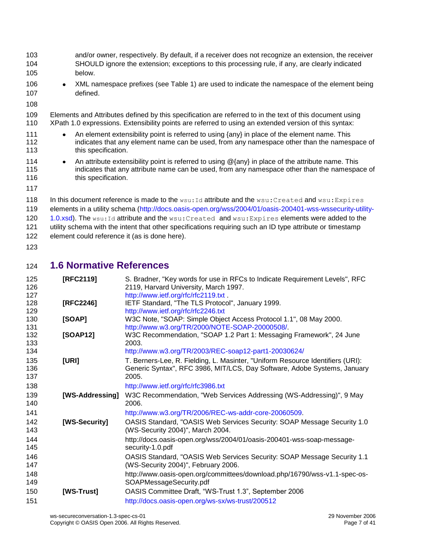- and/or owner, respectively. By default, if a receiver does not recognize an extension, the receiver SHOULD ignore the extension; exceptions to this processing rule, if any, are clearly indicated below.
- 106 XML namespace prefixes (see Table 1) are used to indicate the namespace of the element being defined.
- 
- Elements and Attributes defined by this specification are referred to in the text of this document using XPath 1.0 expressions. Extensibility points are referred to using an extended version of this syntax:
- 111 An element extensibility point is referred to using {any} in place of the element name. This 112 indicates that any element name can be used, from any namespace other than the namespace of **this specification.**
- 114 An attribute extensibility point is referred to using @{any} in place of the attribute name. This indicates that any attribute name can be used, from any namespace other than the namespace of 116 this specification.
- 

118 In this document reference is made to the  $wsu:Id$  attribute and the  $wsu:Created$  and  $wsu:Expires$  elements in a utility schema [\(http://docs.oasis-open.org/wss/2004/01/oasis-200401-wss-wssecurity-utility-](http://docs.oasis-open.org/wss/2004/01/oasis-200401-wss-wssecurity-utility-1.0.xsd)[1.0.xsd\)](http://docs.oasis-open.org/wss/2004/01/oasis-200401-wss-wssecurity-utility-1.0.xsd). The  $wsu:Id$  attribute and the  $wsu:Created$  and  $wsu:Expires$  elements were added to the utility schema with the intent that other specifications requiring such an ID type attribute or timestamp element could reference it (as is done here). 

<span id="page-6-1"></span>**1.6 Normative References**

<span id="page-6-8"></span><span id="page-6-7"></span><span id="page-6-6"></span><span id="page-6-5"></span><span id="page-6-4"></span><span id="page-6-3"></span><span id="page-6-2"></span><span id="page-6-0"></span>

| 125        | [RFC2119]       | S. Bradner, "Key words for use in RFCs to Indicate Requirement Levels", RFC                              |
|------------|-----------------|----------------------------------------------------------------------------------------------------------|
| 126        |                 | 2119, Harvard University, March 1997.                                                                    |
| 127        |                 | http://www.ietf.org/rfc/rfc2119.txt.                                                                     |
| 128        | [RFC2246]       | IETF Standard, "The TLS Protocol", January 1999.                                                         |
| 129<br>130 | [SOAP]          | http://www.ietf.org/rfc/rfc2246.txt<br>W3C Note, "SOAP: Simple Object Access Protocol 1.1", 08 May 2000. |
| 131        |                 | http://www.w3.org/TR/2000/NOTE-SOAP-20000508/                                                            |
| 132        | [SOAP12]        | W3C Recommendation, "SOAP 1.2 Part 1: Messaging Framework", 24 June                                      |
| 133        |                 | 2003.                                                                                                    |
| 134        |                 | http://www.w3.org/TR/2003/REC-soap12-part1-20030624/                                                     |
| 135        | [URI]           | T. Berners-Lee, R. Fielding, L. Masinter, "Uniform Resource Identifiers (URI):                           |
| 136        |                 | Generic Syntax", RFC 3986, MIT/LCS, Day Software, Adobe Systems, January                                 |
| 137        |                 | 2005.                                                                                                    |
| 138        |                 | http://www.ietf.org/rfc/rfc3986.txt                                                                      |
| 139        | [WS-Addressing] | W3C Recommendation, "Web Services Addressing (WS-Addressing)", 9 May                                     |
| 140        |                 | 2006.                                                                                                    |
| 141        |                 | http://www.w3.org/TR/2006/REC-ws-addr-core-20060509.                                                     |
| 142        | [WS-Security]   | OASIS Standard, "OASIS Web Services Security: SOAP Message Security 1.0                                  |
| 143        |                 | (WS-Security 2004)", March 2004.                                                                         |
| 144        |                 | http://docs.oasis-open.org/wss/2004/01/oasis-200401-wss-soap-message-                                    |
| 145        |                 | security-1.0.pdf                                                                                         |
| 146        |                 | OASIS Standard, "OASIS Web Services Security: SOAP Message Security 1.1                                  |
| 147        |                 | (WS-Security 2004)", February 2006.                                                                      |
| 148        |                 | http://www.oasis-open.org/committees/download.php/16790/wss-v1.1-spec-os-                                |
| 149        |                 | SOAPMessageSecurity.pdf                                                                                  |
| 150        | [WS-Trust]      | OASIS Committee Draft, "WS-Trust 1.3", September 2006                                                    |
| 151        |                 | http://docs.oasis-open.org/ws-sx/ws-trust/200512                                                         |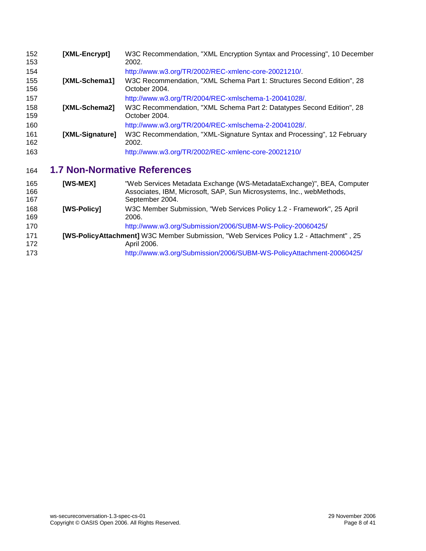<span id="page-7-3"></span><span id="page-7-2"></span>

| 152<br>153 | [XML-Encrypt]   | W3C Recommendation, "XML Encryption Syntax and Processing", 10 December<br>2002.        |
|------------|-----------------|-----------------------------------------------------------------------------------------|
| 154        |                 | http://www.w3.org/TR/2002/REC-xmlenc-core-20021210/.                                    |
| 155<br>156 | [XML-Schema1]   | W3C Recommendation, "XML Schema Part 1: Structures Second Edition", 28<br>October 2004. |
| 157        |                 | http://www.w3.org/TR/2004/REC-xmlschema-1-20041028/.                                    |
| 158<br>159 | [XML-Schema2]   | W3C Recommendation, "XML Schema Part 2: Datatypes Second Edition", 28<br>October 2004.  |
| 160        |                 | http://www.w3.org/TR/2004/REC-xmlschema-2-20041028/.                                    |
| 161<br>162 | [XML-Signature] | W3C Recommendation, "XML-Signature Syntax and Processing", 12 February<br>2002.         |
| 163        |                 | http://www.w3.org/TR/2002/REC-xmlenc-core-20021210/                                     |

### <span id="page-7-1"></span><span id="page-7-0"></span>**1.7 Non-Normative References**

<span id="page-7-4"></span>

| 165<br>166<br>167 | <b>IWS-MEXI</b>    | "Web Services Metadata Exchange (WS-MetadataExchange)", BEA, Computer<br>Associates, IBM, Microsoft, SAP, Sun Microsystems, Inc., webMethods,<br>September 2004.               |
|-------------------|--------------------|--------------------------------------------------------------------------------------------------------------------------------------------------------------------------------|
| 168<br>169        | <b>IWS-Policy1</b> | W3C Member Submission, "Web Services Policy 1.2 - Framework", 25 April<br>2006.                                                                                                |
| 170               |                    | http://www.w3.org/Submission/2006/SUBM-WS-Policy-20060425/                                                                                                                     |
| 171<br>172<br>173 |                    | [WS-PolicyAttachment] W3C Member Submission, "Web Services Policy 1.2 - Attachment", 25<br>April 2006.<br>http://www.w3.org/Submission/2006/SUBM-WS-PolicyAttachment-20060425/ |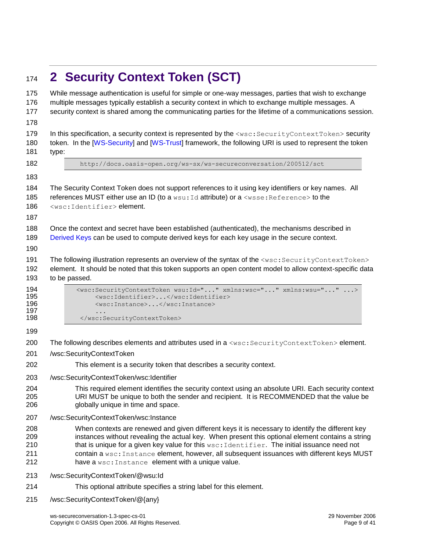## <span id="page-8-0"></span>**2 Security Context Token (SCT)**

| 175<br>176<br>177<br>178        | While message authentication is useful for simple or one-way messages, parties that wish to exchange<br>multiple messages typically establish a security context in which to exchange multiple messages. A<br>security context is shared among the communicating parties for the lifetime of a communications session.                                                                                                                                   |
|---------------------------------|----------------------------------------------------------------------------------------------------------------------------------------------------------------------------------------------------------------------------------------------------------------------------------------------------------------------------------------------------------------------------------------------------------------------------------------------------------|
| 179<br>180<br>181               | In this specification, a security context is represented by the <wsc: securitycontexttoken=""> security<br/>token. In the [WS-Security] and [WS-Trust] framework, the following URI is used to represent the token<br/>type:</wsc:>                                                                                                                                                                                                                      |
| 182                             | http://docs.oasis-open.org/ws-sx/ws-secureconversation/200512/sct                                                                                                                                                                                                                                                                                                                                                                                        |
| 183                             |                                                                                                                                                                                                                                                                                                                                                                                                                                                          |
| 184<br>185<br>186<br>187        | The Security Context Token does not support references to it using key identifiers or key names. All<br>references MUST either use an ID (to a wsu: Id attribute) or a <wsse: reference=""> to the<br/><wsc:identifier>element.</wsc:identifier></wsse:>                                                                                                                                                                                                 |
| 188<br>189<br>190               | Once the context and secret have been established (authenticated), the mechanisms described in<br>Derived Keys can be used to compute derived keys for each key usage in the secure context.                                                                                                                                                                                                                                                             |
| 191<br>192<br>193               | The following illustration represents an overview of the syntax of the <wsc: securitycontexttoken=""><br/>element. It should be noted that this token supports an open content model to allow context-specific data<br/>to be passed.</wsc:>                                                                                                                                                                                                             |
| 194<br>195<br>196<br>197<br>198 | <wsc:securitycontexttoken wsu:id="" xmlns:wsc="" xmlns:wsu=""><br/><wsc:identifier></wsc:identifier><br/><wsc:instance></wsc:instance><br/></wsc:securitycontexttoken>                                                                                                                                                                                                                                                                                   |
|                                 |                                                                                                                                                                                                                                                                                                                                                                                                                                                          |
| 199<br>200                      | The following describes elements and attributes used in a <wsc: securitycontexttoken=""> element.</wsc:>                                                                                                                                                                                                                                                                                                                                                 |
| 201                             | /wsc:SecurityContextToken                                                                                                                                                                                                                                                                                                                                                                                                                                |
| 202                             | This element is a security token that describes a security context.                                                                                                                                                                                                                                                                                                                                                                                      |
| 203                             | /wsc:SecurityContextToken/wsc:Identifier                                                                                                                                                                                                                                                                                                                                                                                                                 |
| 204<br>205<br>206               | This required element identifies the security context using an absolute URI. Each security context<br>URI MUST be unique to both the sender and recipient. It is RECOMMENDED that the value be<br>globally unique in time and space.                                                                                                                                                                                                                     |
| 207                             | /wsc:SecurityContextToken/wsc:Instance                                                                                                                                                                                                                                                                                                                                                                                                                   |
| 208<br>209<br>210<br>211<br>212 | When contexts are renewed and given different keys it is necessary to identify the different key<br>instances without revealing the actual key. When present this optional element contains a string<br>that is unique for a given key value for this wsc: Identifier. The initial issuance need not<br>contain a wsc: Instance element, however, all subsequent issuances with different keys MUST<br>have a wsc: Instance element with a unique value. |
| 213                             | /wsc:SecurityContextToken/@wsu:Id                                                                                                                                                                                                                                                                                                                                                                                                                        |
| 214                             | This optional attribute specifies a string label for this element.                                                                                                                                                                                                                                                                                                                                                                                       |
| 215                             | /wsc:SecurityContextToken/@{any}                                                                                                                                                                                                                                                                                                                                                                                                                         |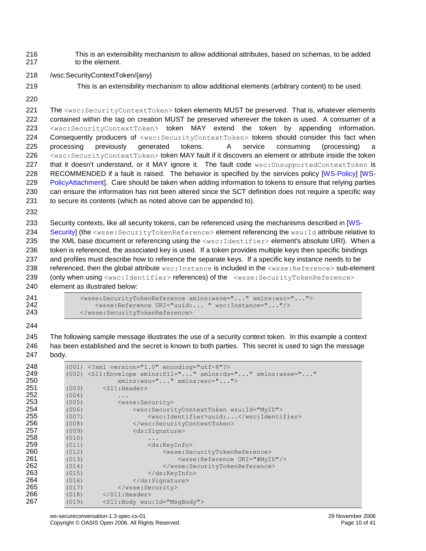This is an extensibility mechanism to allow additional attributes, based on schemas, to be added to the element.

- /wsc:SecurityContextToken/{any}
- 
- This is an extensibility mechanism to allow additional elements (arbitrary content) to be used.
- 

221 The <wsc:SecurityContextToken> token elements MUST be preserved. That is, whatever elements contained within the tag on creation MUST be preserved wherever the token is used. A consumer of a <wsc:SecurityContextToken> token MAY extend the token by appending information. Consequently producers of <wsc:SecurityContextToken> tokens should consider this fact when processing previously generated tokens. A service consuming (processing) a <wsc:SecurityContextToken> token MAY fault if it discovers an element or attribute inside the token 227 that it doesn't understand, or it MAY ignore it. The fault code wsc: UnsupportedContextToken is RECOMMENDED if a fault is raised. The behavior is specified by the services policy [\[WS-Policy\]](#page-6-7) [\[WS-](#page-6-8) [PolicyAtta](#page-6-8)chment]. Care should be taken when adding information to tokens to ensure that relying parties can ensure the information has not been altered since the SCT definition does not require a specific way 231 to secure its contents (which as noted above can be appended to).

 Security contexts, like all security tokens, can be referenced using the mechanisms described in [\[WS-](#page-6-0)[Security\]](#page-6-0) (the <wsse: SecurityTokenReference> element referencing the wsu: Id attribute relative to 235 the XML base document or referencing using the <wsc: Identifier> element's absolute URI). When a token is referenced, the associated key is used. If a token provides multiple keys then specific bindings and profiles must describe how to reference the separate keys. If a specific key instance needs to be 238 referenced, then the global attribute wsc: Instance is included in the <wsse: Reference> sub-element 239 (only when using <wsc:Identifier>references) of the <wsse:SecurityTokenReference> element as illustrated below:

241  $\leq$   $\leq$   $\leq$   $\leq$   $\leq$   $\leq$   $\leq$   $\leq$   $\leq$   $\leq$   $\leq$   $\leq$   $\leq$   $\leq$   $\leq$   $\leq$   $\leq$   $\leq$   $\leq$   $\leq$   $\leq$   $\leq$   $\leq$   $\leq$   $\leq$   $\leq$   $\leq$   $\leq$   $\leq$   $\leq$   $\leq$   $\leq$   $\leq$   $\leq$   $\leq$   $\leq$   $\$  <wsse:Reference URI="uuid:... " wsc:Instance="..."/> 243 </wsse:SecurityTokenReference>

 The following sample message illustrates the use of a security context token. In this example a context has been established and the secret is known to both parties. This secret is used to sign the message body.

| 248 |       | $(001)$ xml version="1.0" encoding="utf-8"?                                             |
|-----|-------|-----------------------------------------------------------------------------------------|
| 249 |       | $(002)$ <s11:envelope <="" th="" xmlns:ds="" xmlns:s11="" xmlns:wsse=""></s11:envelope> |
| 250 |       | xmlns:wsu="" xmlns:wsc="">                                                              |
| 251 | (003) | $<$ S11:Header>                                                                         |
| 252 | (004) | $\cdot$                                                                                 |
| 253 | (005) | <wsse:security></wsse:security>                                                         |
| 254 | (006) | <wsc:securitycontexttoken wsu:id="MyID"></wsc:securitycontexttoken>                     |
| 255 | (007) | <wsc:identifier>uuid:</wsc:identifier>                                                  |
| 256 | (008) |                                                                                         |
| 257 | (009) | <ds:signature></ds:signature>                                                           |
| 258 | (010) | .                                                                                       |
| 259 | (011) | <ds:keyinfo></ds:keyinfo>                                                               |
| 260 | (012) | <wsse:securitytokenreference></wsse:securitytokenreference>                             |
| 261 | (013) | <wsse: reference="" uri="#MyID"></wsse:>                                                |
| 262 | (014) |                                                                                         |
| 263 | (015) | $\langle$ /ds:KeyInfo>                                                                  |
| 264 | (016) | $\langle$ /ds:Signature>                                                                |
| 265 | (017) |                                                                                         |
| 266 | (018) | $\langle$ /S11:Header>                                                                  |
| 267 | (019) | <s11:body wsu:id="MsqBody"></s11:body>                                                  |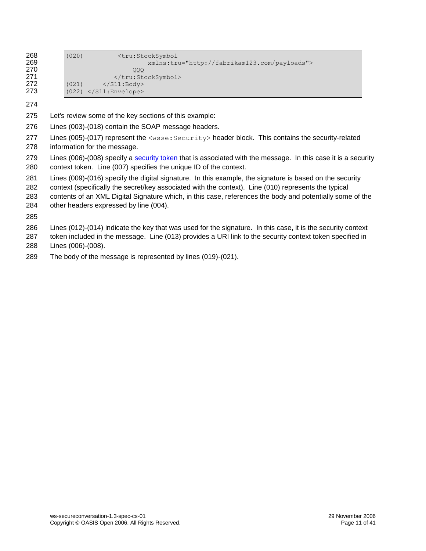| 268<br>269 | (020) | <tru:stocksymbol<br>xmlns:tru="http://fabrikam123.com/payloads"&gt;</tru:stocksymbol<br> |
|------------|-------|------------------------------------------------------------------------------------------|
| 270        |       | 000                                                                                      |
| 271        |       |                                                                                          |
| 272        | (021) | $\langle$ /S11:Body>                                                                     |
| 273        |       | $(022)$ $\langle$ /S11:Envelope>                                                         |

- Let's review some of the key sections of this example:
- Lines (003)-(018) contain the SOAP message headers.
- 277 Lines (005)-(017) represent the <wsse: Security> header block. This contains the security-related information for the message.
- Lines (006)-(008) specify a [security token](#page-4-2) that is associated with the message. In this case it is a security context token. Line (007) specifies the unique ID of the context.
- Lines (009)-(016) specify the digital signature. In this example, the signature is based on the security
- context (specifically the secret/key associated with the context). Line (010) represents the typical
- contents of an XML Digital Signature which, in this case, references the body and potentially some of the
- other headers expressed by line (004).

- Lines (012)-(014) indicate the key that was used for the signature. In this case, it is the security context
- token included in the message. Line (013) provides a URI link to the security context token specified in Lines (006)-(008).
- The body of the message is represented by lines (019)-(021).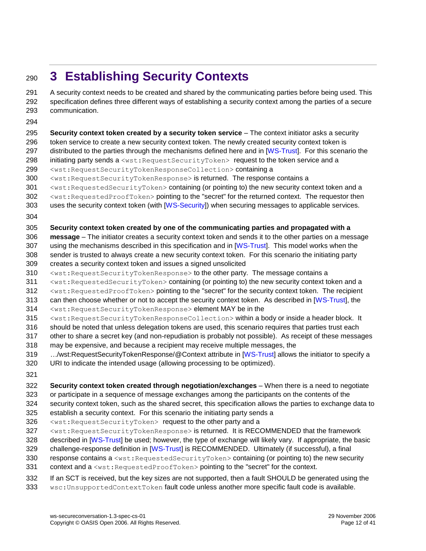## <span id="page-11-0"></span>**3 Establishing Security Contexts**

 A security context needs to be created and shared by the communicating parties before being used. This specification defines three different ways of establishing a security context among the parties of a secure communication.

 **Security context token created by a security token service** – The context initiator asks a security token service to create a new security context token. The newly created security context token is 297 distributed to the parties through the mechanisms defined here and in [\[WS-Trust\]](#page-6-2). For this scenario the 298 initiating party sends a <wst:RequestSecurityToken> request to the token service and a <wst:RequestSecurityTokenResponseCollection> containing a 300 <wst:RequestSecurityTokenResponse> is returned. The response contains a <wst:RequestedSecurityToken> containing (or pointing to) the new security context token and a <wst:RequestedProofToken> pointing to the "secret" for the returned context. The requestor then uses the security context token (with [\[WS-Security\]](#page-6-0)) when securing messages to applicable services. **Security context token created by one of the communicating parties and propagated with a message** – The initiator creates a security context token and sends it to the other parties on a message using the mechanisms described in this specification and in [\[WS-Trust\]](#page-6-2). This model works when the sender is trusted to always create a new security context token. For this scenario the initiating party creates a security context token and issues a signed unsolicited <wst:RequestSecurityTokenResponse> to the other party. The message contains a <wst:RequestedSecurityToken> containing (or pointing to) the new security context token and a <wst:RequestedProofToken> pointing to the "secret" for the security context token. The recipient can then choose whether or not to accept the security context token. As described in [\[WS-Trust\]](#page-6-2), the <wst:RequestSecurityTokenResponse> element MAY be in the <wst:RequestSecurityTokenResponseCollection> within a body or inside a header block. It should be noted that unless delegation tokens are used, this scenario requires that parties trust each other to share a secret key (and non-repudiation is probably not possible). As receipt of these messages may be expensive, and because a recipient may receive multiple messages, the *…*/wst:RequestSecurityTokenResponse/@Context attribute in [\[WS-Trust\]](#page-6-2) allows the initiator to specify a URI to indicate the intended usage (allowing processing to be optimized). **Security context token created through negotiation/exchanges** – When there is a need to negotiate or participate in a sequence of message exchanges among the participants on the contents of the security context token, such as the shared secret, this specification allows the parties to exchange data to establish a security context. For this scenario the initiating party sends a 326 <wst:RequestSecurityToken> request to the other party and a <wst:RequestSecurityTokenResponse> is returned. It is RECOMMENDED that the framework 328 described in [\[WS-Trust\]](#page-6-2) be used; however, the type of exchange will likely vary. If appropriate, the basic challenge-response definition in [\[WS-Trust\]](#page-6-2) is RECOMMENDED. Ultimately (if successful), a final 330 response contains a <wst: RequestedSecurityToken> containing (or pointing to) the new security 331 context and a <wst:RequestedProofToken> pointing to the "secret" for the context. If an SCT is received, but the key sizes are not supported, then a fault SHOULD be generated using the wsc:UnsupportedContextToken fault code unless another more specific fault code is available.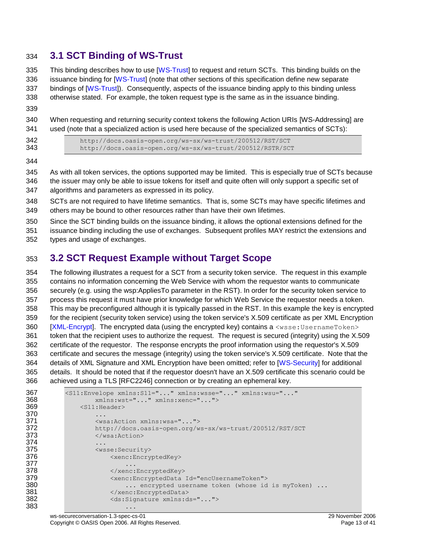### <span id="page-12-0"></span>**3.1 SCT Binding of WS-Trust**

335 This binding describes how to use [\[WS-Trust\]](#page-6-2) to request and return SCTs. This binding builds on the issuance binding for [\[WS-Trust\]](#page-6-2) (note that other sections of this specification define new separate bindings of [\[WS-Trust\]](#page-6-2)). Consequently, aspects of the issuance binding apply to this binding unless otherwise stated. For example, the token request type is the same as in the issuance binding.

 When requesting and returning security context tokens the following Action URIs [WS-Addressing] are used (note that a specialized action is used here because of the specialized semantics of SCTs):

342 http://docs.oasis-open.org/ws-sx/ws-trust/200512/RST/SCT<br>343 http://docs.oasis-open.org/ws-sx/ws-trust/200512/RSTR/SC <http://docs.oasis-open.org/ws-sx/ws-trust/200512/RSTR/SCT>

 As with all token services, the options supported may be limited. This is especially true of SCTs because the issuer may only be able to issue tokens for itself and quite often will only support a specific set of algorithms and parameters as expressed in its policy.

- SCTs are not required to have lifetime semantics. That is, some SCTs may have specific lifetimes and others may be bound to other resources rather than have their own lifetimes.
- Since the SCT binding builds on the issuance binding, it allows the optional extensions defined for the

issuance binding including the use of exchanges. Subsequent profiles MAY restrict the extensions and

types and usage of exchanges.

### <span id="page-12-1"></span>**3.2 SCT Request Example without Target Scope**

 The following illustrates a request for a SCT from a security token service. The request in this example contains no information concerning the Web Service with whom the requestor wants to communicate securely (e.g. using the wsp:AppliesTo parameter in the RST). In order for the security token service to process this request it must have prior knowledge for which Web Service the requestor needs a token. This may be preconfigured although it is typically passed in the RST. In this example the key is encrypted for the recipient (security token service) using the token service's X.509 certificate as per XML Encryption [\[XML-Encrypt\]](#page-7-2). The encrypted data (using the encrypted key) contains a  $\langle$ wsse: UsernameToken> token that the recipient uses to authorize the request. The request is secured (integrity) using the X.509 certificate of the requestor. The response encrypts the proof information using the requestor's X.509 certificate and secures the message (integrity) using the token service's X.509 certificate. Note that the details of XML Signature and XML Encryption have been omitted; refer to [\[WS-Security\]](#page-6-0) for additional details. It should be noted that if the requestor doesn't have an X.509 certificate this scenario could be achieved using a TLS [RFC2246] connection or by creating an ephemeral key.

```
367 <S11:Envelope xmlns:S11="..." xmlns:wsse="..." xmlns:wsu="..."
             368 xmlns:wst="..." xmlns:xenc="...">
369 <s11: Header>
370 ...<br>371 ...
371 <wsa:Action xmlns:wsa="...">
             372 http://docs.oasis-open.org/ws-sx/ws-trust/200512/RST/SCT
373 </wsa:Action>
374 ...
375 <wsse:Security>
376 <xenc:EncryptedKey>
377 ...
378 </xenc:EncryptedKey>
               379 <xenc:EncryptedData Id="encUsernameToken">
380 ... encrypted username token (whose id is myToken) ...
381 </xenc:EncryptedData>
382 <ds:Signature xmlns:ds="...">
383 ...
```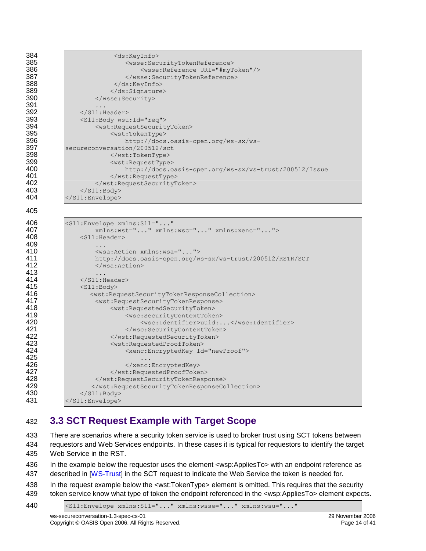| 384 | <ds:keyinfo></ds:keyinfo>                                                                 |
|-----|-------------------------------------------------------------------------------------------|
| 385 | <wsse:securitytokenreference></wsse:securitytokenreference>                               |
| 386 | <wsse: reference="" uri="#myToken"></wsse:>                                               |
| 387 |                                                                                           |
| 388 | $\langle$ /ds:KeyInfo>                                                                    |
| 389 |                                                                                           |
| 390 |                                                                                           |
| 391 |                                                                                           |
| 392 | $\langle$ /S11:Header>                                                                    |
| 393 | <s11:body wsu:id="req"></s11:body>                                                        |
| 394 | <wst:requestsecuritytoken></wst:requestsecuritytoken>                                     |
| 395 | <wst:tokentype></wst:tokentype>                                                           |
| 396 |                                                                                           |
| 397 | http://docs.oasis-open.org/ws-sx/ws-<br>secureconversation/200512/sct                     |
| 398 |                                                                                           |
| 399 | <wst:requesttype></wst:requesttype>                                                       |
| 400 |                                                                                           |
| 401 | http://docs.oasis-open.org/ws-sx/ws-trust/200512/Issue                                    |
| 402 |                                                                                           |
| 403 |                                                                                           |
| 404 | $\langle$ /S11:Body>                                                                      |
|     |                                                                                           |
| 405 |                                                                                           |
|     |                                                                                           |
| 406 | <s11:envelope <="" th="" xmlns:s11=""></s11:envelope>                                     |
| 407 | xmlns:wst="" xmlns:wsc="" xmlns:xenc="">                                                  |
| 408 | $<$ S11:Header>                                                                           |
| 409 | .                                                                                         |
| 410 | <wsa:action xmlns:wsa=""></wsa:action>                                                    |
| 411 | http://docs.oasis-open.org/ws-sx/ws-trust/200512/RSTR/SCT                                 |
| 412 | $\langle$ /wsa:Action>                                                                    |
| 413 |                                                                                           |
| 414 | $\langle$ /S11:Header>                                                                    |
| 415 | $<$ S11:Body>                                                                             |
| 416 | <wst:requestsecuritytokenresponsecollection></wst:requestsecuritytokenresponsecollection> |
| 417 | <wst:requestsecuritytokenresponse></wst:requestsecuritytokenresponse>                     |
| 418 | <wst:requestedsecuritytoken></wst:requestedsecuritytoken>                                 |
| 419 | <wsc:securitycontexttoken></wsc:securitycontexttoken>                                     |

### <span id="page-13-0"></span>432 **3.3 SCT Request Example with Target Scope**

421 </wsc:SecurityContextToken><br>422 </wst:RequestedSecurityToken> 422 </wst:RequestedSecurityToken><br>423 <wst:RequestedProofToken> 423 <wst:RequestedProofToken><br>424 <wst:RequestedProofToken>

426 </aenc:EncryptedKey></a></aenc:EncryptedKey></a></a></aenc:EncryptedKey></aenc:EncryptedKey></aenc:EncryptedKey> 427 </wst:RequestedProofToken><br>428 </wst:RequestSecurityTokenResp 428 </wst:RequestSecurityTokenResponse><br>429 </wst:RequestSecurityTokenResponseCo

 $425$  . The contract of the contract of the contract of the contract of the contract of the contract of the contract of the contract of the contract of the contract of the contract of the contract of the contract of the c

430 </S11:Body> 431 </S11:Envelope>

420 <wsc:Identifier>uuid:...</wsc:Identifier><br>421 </wsc:SecurityContextToken>

433 There are scenarios where a security token service is used to broker trust using SCT tokens between 434 requestors and Web Services endpoints. In these cases it is typical for requestors to identify the target 435 Web Service in the RST.

424 <xenc:EncryptedKey Id="newProof">

429 </wst:RequestSecurityTokenResponseCollection>

436 In the example below the requestor uses the element <wsp:AppliesTo> with an endpoint reference as 437 described in [\[WS-Trust\]](#page-6-2) in the SCT request to indicate the Web Service the token is needed for.

438 In the request example below the <wst:TokenType> element is omitted. This requires that the security 439 token service know what type of token the endpoint referenced in the <wsp:AppliesTo> element expects.

440 <S11:Envelope xmlns:S11="..." xmlns:wsse="..." xmlns:wsu="..."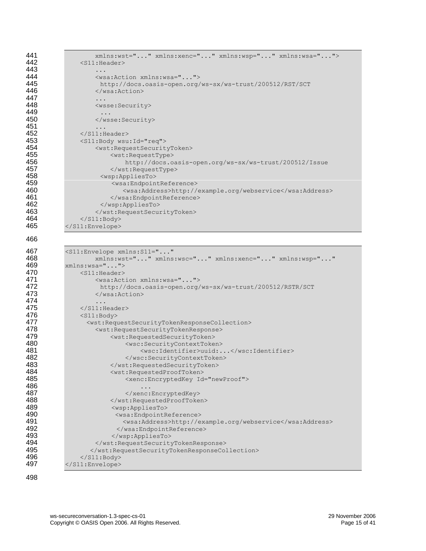| 441 | xmlns:wst="" xmlns:xenc="" xmlns:wsp="" xmlns:wsa="">                                     |
|-----|-------------------------------------------------------------------------------------------|
| 442 | $<$ S11:Header>                                                                           |
| 443 | .                                                                                         |
| 444 | <wsa:action xmlns:wsa=""></wsa:action>                                                    |
| 445 | http://docs.oasis-open.org/ws-sx/ws-trust/200512/RST/SCT                                  |
| 446 | $\langle$ /wsa:Action>                                                                    |
| 447 | .                                                                                         |
| 448 | <wsse:security></wsse:security>                                                           |
| 449 |                                                                                           |
| 450 |                                                                                           |
| 451 | $\cdots$                                                                                  |
| 452 | $\langle$ /S11:Header>                                                                    |
| 453 | <s11:body wsu:id="req"></s11:body>                                                        |
| 454 | <wst:requestsecuritytoken></wst:requestsecuritytoken>                                     |
| 455 | <wst:requesttype></wst:requesttype>                                                       |
| 456 | http://docs.oasis-open.org/ws-sx/ws-trust/200512/Issue                                    |
| 457 |                                                                                           |
| 458 | <wsp:appliesto></wsp:appliesto>                                                           |
| 459 | <wsa:endpointreference></wsa:endpointreference>                                           |
| 460 | <wsa:address>http://example.org/webservice</wsa:address>                                  |
| 461 |                                                                                           |
| 462 |                                                                                           |
| 463 |                                                                                           |
| 464 | $\langle$ /S11:Body>                                                                      |
| 465 |                                                                                           |
| 466 |                                                                                           |
| 467 | <s11:envelope <="" th="" xmlns:s11=""></s11:envelope>                                     |
| 468 | xmlns:wst="" xmlns:wsc="" xmlns:xenc="" xmlns:wsp=""                                      |
| 469 | $xmlns:wsa=""$                                                                            |
| 470 | $<$ S11:Header>                                                                           |
| 471 | <wsa:action xmlns:wsa=""></wsa:action>                                                    |
| 472 | http://docs.oasis-open.org/ws-sx/ws-trust/200512/RSTR/SCT                                 |
| 473 | $\langle$ /wsa:Action>                                                                    |
| 474 | .                                                                                         |
| 475 | $\langle$ /S11:Header>                                                                    |
| 476 | $<$ S $11$ : Body>                                                                        |
| 477 | <wst:requestsecuritytokenresponsecollection></wst:requestsecuritytokenresponsecollection> |
| 478 | <wst:requestsecuritytokenresponse></wst:requestsecuritytokenresponse>                     |
| 479 | <wst:requestedsecuritytoken></wst:requestedsecuritytoken>                                 |
| 480 | <wsc:securitycontexttoken></wsc:securitycontexttoken>                                     |
| 481 | <wsc:identifier>uuid:</wsc:identifier>                                                    |
| 482 |                                                                                           |
| 483 |                                                                                           |
| 484 | <wst:requestedprooftoken></wst:requestedprooftoken>                                       |
| 485 | <xenc:encryptedkey id="newProof"></xenc:encryptedkey>                                     |
| 486 |                                                                                           |
| 487 |                                                                                           |
| 488 |                                                                                           |
| 489 | <wsp:appliesto></wsp:appliesto>                                                           |
| 490 | <wsa:endpointreference></wsa:endpointreference>                                           |
| 491 | <wsa:address>http://example.org/webservice</wsa:address>                                  |
| 492 |                                                                                           |
| 493 |                                                                                           |
| 494 |                                                                                           |
| 495 |                                                                                           |
| 496 | $\langle$ /S11:Body>                                                                      |
| 497 |                                                                                           |
|     |                                                                                           |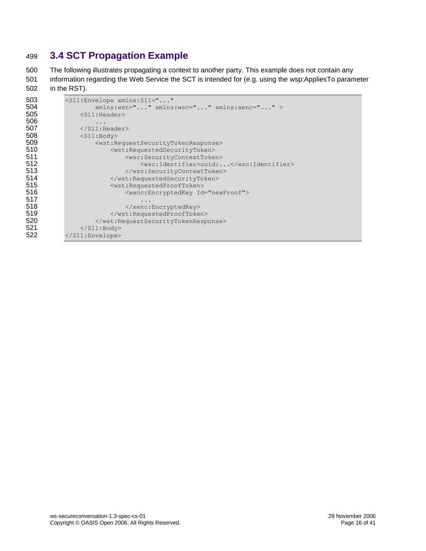### <span id="page-15-0"></span>499 **3.4 SCT Propagation Example**

500 The following illustrates propagating a context to another party. This example does not contain any 501 information regarding the Web Service the SCT is intended for (e.g. using the wsp:AppliesTo parameter 502 in the RST).

```
503 <s11:Envelope xmlns:S11="..."<br>504 xmlns:wst="..." xmlns
504 xmlns:wst="..." xmlns:wsc="..." xmlns:xenc="..." > 505 <S11:Header>
                 <S11:Header>
506 ...
507 </s11:Header><br>508 <s11:Body>
                 <S11:Body>
509 \leq \leq \leq \leq \leq \leq \leq \leq \leq \leq \leq \leq \leq \leq \leq \leq \leq \leq \leq \leq \leq \leq \leq \leq \leq \leq \leq \leq \leq \leq \leq \leq \leq \leq \leq \leq \510 <wst:RequestedSecurityToken><br>511 <wsc:SecurityContextToke
511 <wsc:SecurityContextToken><br>512 <wsc:Identifier>uuid:.
512 <wsc:Identifier>uuid:...</wsc:Identifier><br>513 </wsc:SecurityContextToken>
                                513 </wsc:SecurityContextToken>
514 </wst:RequestedSecurityToken><br>515 <wst:RequestedProofToken>
                           515 <wst:RequestedProofToken>
516 \leqxenc:EncryptedKey Id="newProof">
517 ...
518 </xenc:EncryptedKey><br>519 </xenc:EncryptedKey>
519 </wst:RequestedProofToken><br>520 </wst:RequestSecurityTokenResp
                      520 </wst:RequestSecurityTokenResponse>
521 </s11:Body>
522 </S11:Envelope>
```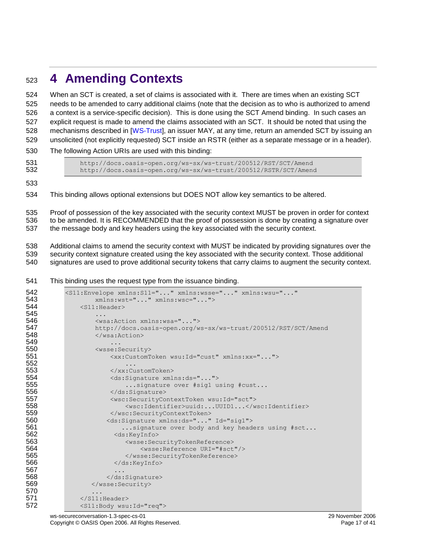## <span id="page-16-0"></span>**4 Amending Contexts**

 When an SCT is created, a set of claims is associated with it. There are times when an existing SCT needs to be amended to carry additional claims (note that the decision as to who is authorized to amend a context is a service-specific decision). This is done using the SCT Amend binding. In such cases an explicit request is made to amend the claims associated with an SCT. It should be noted that using the mechanisms described in [\[WS-Trust\]](#page-6-2), an issuer MAY, at any time, return an amended SCT by issuing an unsolicited (not explicitly requested) SCT inside an RSTR (either as a separate message or in a header).

- The following Action URIs are used with this binding:
- 

531 http://docs.oasis-open.org/ws-sx/ws-trust/200512/RST/SCT/Amend<br>532 http://docs.oasis-open.org/ws-sx/ws-trust/200512/RSTR/SCT/Amen <http://docs.oasis-open.org/ws-sx/ws-trust/200512/RSTR/SCT/Amend>

This binding allows optional extensions but DOES NOT allow key semantics to be altered.

 Proof of possession of the key associated with the security context MUST be proven in order for context to be amended. It is RECOMMENDED that the proof of possession is done by creating a signature over the message body and key headers using the key associated with the security context.

 Additional claims to amend the security context with MUST be indicated by providing signatures over the security context signature created using the key associated with the security context. Those additional signatures are used to prove additional security tokens that carry claims to augment the security context.

This binding uses the request type from the issuance binding.

| 542 | <s11:envelope <="" th="" xmlns:s11="" xmlns:wsse="" xmlns:wsu=""></s11:envelope> |
|-----|----------------------------------------------------------------------------------|
| 543 | xmlns:wst="" xmlns:wsc="">                                                       |
| 544 | $<$ S11:Header>                                                                  |
| 545 | .                                                                                |
| 546 | <wsa:action xmlns:wsa=""></wsa:action>                                           |
| 547 | http://docs.oasis-open.org/ws-sx/ws-trust/200512/RST/SCT/Amend                   |
| 548 | $\langle$ /wsa:Action>                                                           |
| 549 |                                                                                  |
| 550 | <wsse:security></wsse:security>                                                  |
| 551 | <xx:customtoken wsu:id="cust" xmlns:xx=""></xx:customtoken>                      |
| 552 | $\cdots$                                                                         |
| 553 | $\langle$ /xx:CustomToken>                                                       |
| 554 | <ds:signature xmlns:ds=""></ds:signature>                                        |
| 555 | signature over #sigl using #cust                                                 |
| 556 | $\langle$ /ds:Signature>                                                         |
| 557 | <wsc:securitycontexttoken wsu:id="sct"></wsc:securitycontexttoken>               |
| 558 | <wsc:identifier>uuid:UUID1</wsc:identifier>                                      |
| 559 |                                                                                  |
| 560 | <ds:signature id="sig1" xmlns:ds=""></ds:signature>                              |
| 561 | signature over body and key headers using #sct                                   |
| 562 | <ds:keyinfo></ds:keyinfo>                                                        |
| 563 | <wsse:securitytokenreference></wsse:securitytokenreference>                      |
| 564 | <wsse:reference uri="#sct"></wsse:reference>                                     |
| 565 |                                                                                  |
| 566 | $\langle$ /ds:KeyInfo>                                                           |
| 567 | .                                                                                |
| 568 |                                                                                  |
| 569 |                                                                                  |
| 570 | .                                                                                |
| 571 | $\langle$ /S11:Header>                                                           |
| 572 | <s11:body wsu:id="req"></s11:body>                                               |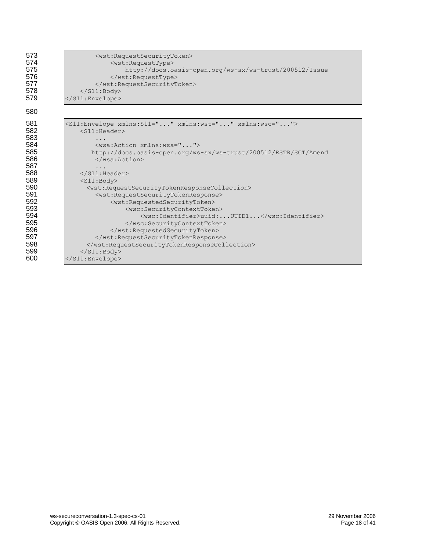| 573 | <wst:requestsecuritytoken></wst:requestsecuritytoken>                                     |
|-----|-------------------------------------------------------------------------------------------|
| 574 | <wst:requesttype></wst:requesttype>                                                       |
| 575 | http://docs.oasis-open.org/ws-sx/ws-trust/200512/Issue                                    |
| 576 |                                                                                           |
| 577 |                                                                                           |
| 578 | $\langle$ /S11:Body>                                                                      |
| 579 |                                                                                           |
| 580 |                                                                                           |
| 581 | <s11:envelope xmlns:s11="" xmlns:wsc="" xmlns:wst=""></s11:envelope>                      |
| 582 | $<$ S11:Header>                                                                           |
| 583 | .                                                                                         |
| 584 | <wsa:action xmlns:wsa=""></wsa:action>                                                    |
| 585 | http://docs.oasis-open.org/ws-sx/ws-trust/200512/RSTR/SCT/Amend                           |
| 586 | $\langle$ /wsa:Action>                                                                    |
| 587 | .                                                                                         |
| 588 | $\langle$ /S11:Header>                                                                    |
| 589 | $<$ S11:Body>                                                                             |
| 590 | <wst:requestsecuritytokenresponsecollection></wst:requestsecuritytokenresponsecollection> |
| 591 | <wst:requestsecuritytokenresponse></wst:requestsecuritytokenresponse>                     |
| 592 | <wst:requestedsecuritytoken></wst:requestedsecuritytoken>                                 |
| 593 | <wsc:securitycontexttoken></wsc:securitycontexttoken>                                     |
| 594 | <wsc:identifier>uuid:UUID1</wsc:identifier>                                               |
| 595 |                                                                                           |
| 596 |                                                                                           |
| 597 |                                                                                           |
| 598 |                                                                                           |
| 599 | $\langle$ /S11:Body>                                                                      |
| 600 | $\langle$ /S11:Envelope>                                                                  |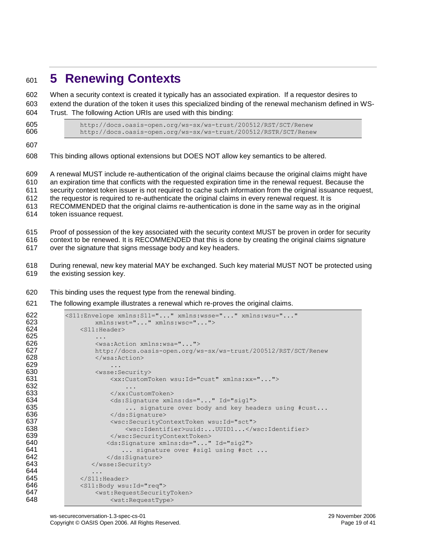### <span id="page-18-0"></span>**5 Renewing Contexts**

 When a security context is created it typically has an associated expiration. If a requestor desires to extend the duration of the token it uses this specialized binding of the renewal mechanism defined in WS-Trust. The following Action URIs are used with this binding:

 http://docs.oasis-open.org/ws-sx/ws-trust/200512/RST/SCT/Renew <http://docs.oasis-open.org/ws-sx/ws-trust/200512/RSTR/SCT/Renew>

This binding allows optional extensions but DOES NOT allow key semantics to be altered.

 A renewal MUST include re-authentication of the original claims because the original claims might have an expiration time that conflicts with the requested expiration time in the renewal request. Because the security context token issuer is not required to cache such information from the original issuance request, the requestor is required to re-authenticate the original claims in every renewal request. It is RECOMMENDED that the original claims re-authentication is done in the same way as in the original token issuance request.

 Proof of possession of the key associated with the security context MUST be proven in order for security context to be renewed. It is RECOMMENDED that this is done by creating the original claims signature over the signature that signs message body and key headers.

- During renewal, new key material MAY be exchanged. Such key material MUST NOT be protected using the existing session key.
- This binding uses the request type from the renewal binding.
- The following example illustrates a renewal which re-proves the original claims.

```
622 <s11:Envelope xmlns:S11="..." xmlns:wsse="..." xmlns:wsu="..."<br>623 xmlns:wst="..." xmlns:wsc="...">
623 xmlns:wst="..." xmlns:wsc="..."><br>624 <S11:Header>
             <S11:Header>
625<br>626
                626 <wsa:Action xmlns:wsa="...">
627 http://docs.oasis-open.org/ws-sx/ws-trust/200512/RST/SCT/Renew
628 </wsa:Action>
629 ...
630 <wsse:Security>
631 <xx:CustomToken wsu:Id="cust" xmlns:xx="...">
632 ...
633 </xx:CustomToken>
634 <ds:Signature xmlns:ds="..." Id="sig1">
635 635 ... signature over body and key headers using #cust...
636 </ds:Signature>
637 </ds:Signature>
</as:SecurityCo
637 \leq xsc:SecurityContextToken wsu:Id="sct"><br>638 \leq xsc:Identifier>uuid:...UUID1...
638 <wsc:Identifier>uuid:...UUID1...</wsc:Identifier><br>639 </wsc:SecurityContextToken>
                   639 </wsc:SecurityContextToken>
640 <ds:Signature xmlns:ds="..." Id="sig2">
641 641 ... signature over #sig1 using #sct ...
642 </ds:Signature>
643 </wsse:Security>
644 ...
645 </s11: Header>
646 <s11:Body wsu:Id="req"><br>647 <wst:RequestSecurit
                647 <wst:RequestSecurityToken>
648 <wst:RequestType>
```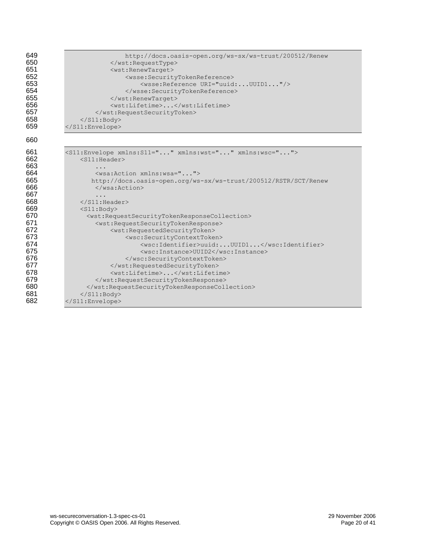| 649<br>650<br>651<br>652<br>653<br>654<br>655<br>656<br>657<br>658<br>659 | http://docs.oasis-open.org/ws-sx/ws-trust/200512/Renew<br><br><wst:renewtarget><br/><wsse:securitytokenreference><br/><wsse: reference="" uri="uuid:UUID1"></wsse:><br/></wsse:securitytokenreference><br/></wst:renewtarget><br><wst:lifetime></wst:lifetime><br><br>$\langle$ /S11:Body><br> |
|---------------------------------------------------------------------------|------------------------------------------------------------------------------------------------------------------------------------------------------------------------------------------------------------------------------------------------------------------------------------------------|
| 660                                                                       |                                                                                                                                                                                                                                                                                                |
| 661<br>662<br>663<br>664<br>665<br>666<br>667                             | <s11:envelope xmlns:s11="" xmlns:wsc="" xmlns:wst=""><br/><math>&lt;</math>S11: Header&gt;<br/>.<br/><wsa:action xmlns:wsa=""><br/>http://docs.oasis-open.org/ws-sx/ws-trust/200512/RSTR/SCT/Renew<br/><math>\langle</math>/wsa:Action&gt;<br/>.</wsa:action></s11:envelope>                   |
| 668<br>669                                                                | $\langle$ /S11:Header><br>$<$ S11:Body>                                                                                                                                                                                                                                                        |
| 670                                                                       | <wst:requestsecuritytokenresponsecollection></wst:requestsecuritytokenresponsecollection>                                                                                                                                                                                                      |
| 671                                                                       | <wst:requestsecuritytokenresponse></wst:requestsecuritytokenresponse>                                                                                                                                                                                                                          |
| 672                                                                       | <wst:requestedsecuritytoken></wst:requestedsecuritytoken>                                                                                                                                                                                                                                      |
| 673                                                                       | <wsc:securitycontexttoken></wsc:securitycontexttoken>                                                                                                                                                                                                                                          |
| 674                                                                       | <wsc:identifier>uuid:UUID1</wsc:identifier>                                                                                                                                                                                                                                                    |
| 675                                                                       | <wsc:instance>UUID2</wsc:instance>                                                                                                                                                                                                                                                             |
| 676                                                                       |                                                                                                                                                                                                                                                                                                |
| 677                                                                       |                                                                                                                                                                                                                                                                                                |
| 678<br>679                                                                | <wst:lifetime></wst:lifetime>                                                                                                                                                                                                                                                                  |
| 680                                                                       | <br>                                                                                                                                                                                                                                                                                           |
| 681                                                                       | $\langle$ /S11:Body>                                                                                                                                                                                                                                                                           |
| 682                                                                       |                                                                                                                                                                                                                                                                                                |
|                                                                           |                                                                                                                                                                                                                                                                                                |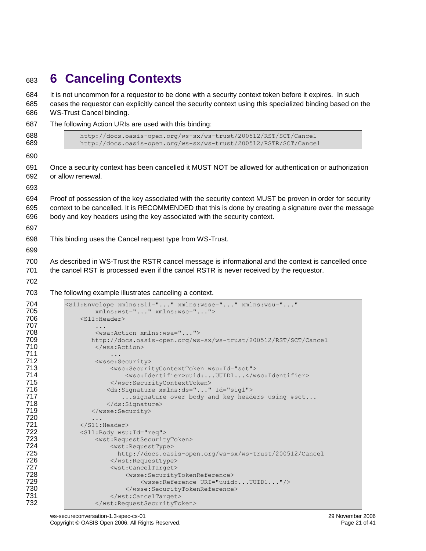<span id="page-20-0"></span>

|  |  |  |  |  | 683 6 Canceling Contexts |
|--|--|--|--|--|--------------------------|
|--|--|--|--|--|--------------------------|

| 684<br>685<br>686                                                                                                   | It is not uncommon for a requestor to be done with a security context token before it expires. In such<br>cases the requestor can explicitly cancel the security context using this specialized binding based on the<br>WS-Trust Cancel binding.                                                                                                                                                                                                                                                                                                                          |
|---------------------------------------------------------------------------------------------------------------------|---------------------------------------------------------------------------------------------------------------------------------------------------------------------------------------------------------------------------------------------------------------------------------------------------------------------------------------------------------------------------------------------------------------------------------------------------------------------------------------------------------------------------------------------------------------------------|
| 687                                                                                                                 | The following Action URIs are used with this binding:                                                                                                                                                                                                                                                                                                                                                                                                                                                                                                                     |
| 688<br>689                                                                                                          | http://docs.oasis-open.org/ws-sx/ws-trust/200512/RST/SCT/Cancel<br>http://docs.oasis-open.org/ws-sx/ws-trust/200512/RSTR/SCT/Cancel                                                                                                                                                                                                                                                                                                                                                                                                                                       |
| 690                                                                                                                 |                                                                                                                                                                                                                                                                                                                                                                                                                                                                                                                                                                           |
| 691<br>692<br>693                                                                                                   | Once a security context has been cancelled it MUST NOT be allowed for authentication or authorization<br>or allow renewal.                                                                                                                                                                                                                                                                                                                                                                                                                                                |
| 694<br>695<br>696<br>697                                                                                            | Proof of possession of the key associated with the security context MUST be proven in order for security<br>context to be cancelled. It is RECOMMENDED that this is done by creating a signature over the message<br>body and key headers using the key associated with the security context.                                                                                                                                                                                                                                                                             |
| 698<br>699                                                                                                          | This binding uses the Cancel request type from WS-Trust.                                                                                                                                                                                                                                                                                                                                                                                                                                                                                                                  |
| 700<br>701<br>702                                                                                                   | As described in WS-Trust the RSTR cancel message is informational and the context is cancelled once<br>the cancel RST is processed even if the cancel RSTR is never received by the requestor.                                                                                                                                                                                                                                                                                                                                                                            |
| 703                                                                                                                 | The following example illustrates canceling a context.                                                                                                                                                                                                                                                                                                                                                                                                                                                                                                                    |
| 704<br>705<br>706<br>707<br>708<br>709<br>710<br>711<br>712<br>713<br>714<br>715<br>716<br>717<br>718<br>719<br>720 | <s11:envelope <br="" xmlns:s11="" xmlns:wsse="" xmlns:wsu="">xmlns:wst="" xmlns:wsc=""&gt;<br/><math>&lt;</math>S11:Header&gt;<br/>.<br/><wsa:action xmlns:wsa=""><br/>http://docs.oasis-open.org/ws-sx/ws-trust/200512/RST/SCT/Cancel<br/></wsa:action><br/>.<br/><wsse:security><br/><wsc:securitycontexttoken wsu:id="sct"><br/><wsc:identifier>uuid:UUID1</wsc:identifier><br/></wsc:securitycontexttoken><br/><ds:signature id="sig1" xmlns:ds=""><br/> signature over body and key headers using #sct<br/></ds:signature><br/></wsse:security><br/>.</s11:envelope> |
| 721<br>722<br>723<br>724<br>725<br>726<br>727<br>728<br>729<br>730<br>731                                           | $\langle$ /S11:Header><br><s11:body wsu:id="req"><br/><wst:requestsecuritytoken><br/><wst:requesttype><br/>http://docs.oasis-open.org/ws-sx/ws-trust/200512/Cancel<br/></wst:requesttype><br/><wst:canceltarget><br/><wsse:securitytokenreference><br/><wsse: reference="" uri="uuid:UUID1"></wsse:><br/></wsse:securitytokenreference><br/></wst:canceltarget></wst:requestsecuritytoken></s11:body>                                                                                                                                                                     |
| 732                                                                                                                 |                                                                                                                                                                                                                                                                                                                                                                                                                                                                                                                                                                           |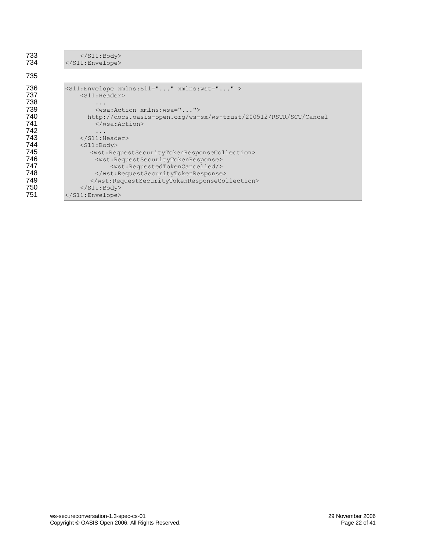| $\langle$ /S11:Body><br>$\langle$ /S11:Envelope>                                            |
|---------------------------------------------------------------------------------------------|
|                                                                                             |
| <s11:envelope xmlns:s11="" xmlns:wst=""><br/><math>&lt;</math>S11:Header&gt;</s11:envelope> |
|                                                                                             |
| <wsa:action xmlns:wsa=""></wsa:action>                                                      |
| http://docs.oasis-open.org/ws-sx/ws-trust/200512/RSTR/SCT/Cancel                            |
| $\langle$ /wsa:Action>                                                                      |
|                                                                                             |
| $\langle$ /S11:Header>                                                                      |
| $<$ S11:Body>                                                                               |
| <wst:requestsecuritytokenresponsecollection></wst:requestsecuritytokenresponsecollection>   |
| <wst:requestsecuritytokenresponse></wst:requestsecuritytokenresponse>                       |
| <wst:requestedtokencancelled></wst:requestedtokencancelled>                                 |
|                                                                                             |
|                                                                                             |
| $\langle$ /S11:Body>                                                                        |
| $\langle$ /S11:Envelope>                                                                    |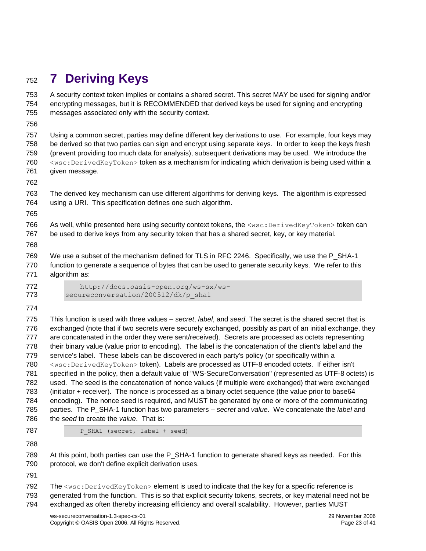## <span id="page-22-0"></span>**7 Deriving Keys**

 A security context token implies or contains a shared secret. This secret MAY be used for signing and/or encrypting messages, but it is RECOMMENDED that derived keys be used for signing and encrypting messages associated only with the security context. Using a common secret, parties may define different key derivations to use. For example, four keys may be derived so that two parties can sign and encrypt using separate keys. In order to keep the keys fresh (prevent providing too much data for analysis), subsequent derivations may be used. We introduce the <wsc:DerivedKeyToken> token as a mechanism for indicating which derivation is being used within a given message. The derived key mechanism can use different algorithms for deriving keys. The algorithm is expressed using a URI. This specification defines one such algorithm. 766 As well, while presented here using security context tokens, the <wsc:DerivedKeyToken> token can be used to derive keys from any security token that has a shared secret, key, or key material.

 We use a subset of the mechanism defined for TLS in RFC 2246. Specifically, we use the P\_SHA-1 function to generate a sequence of bytes that can be used to generate security keys. We refer to this algorithm as:

 http://docs.oasis-open.org/ws-sx/ws-773 secureconversation/200512/dk/p\_sha1

 This function is used with three values – *secret*, *label*, and *seed*. The secret is the shared secret that is exchanged (note that if two secrets were securely exchanged, possibly as part of an initial exchange, they are concatenated in the order they were sent/received). Secrets are processed as octets representing their binary value (value prior to encoding). The label is the concatenation of the client's label and the service's label. These labels can be discovered in each party's policy (or specifically within a <wsc:DerivedKeyToken> token). Labels are processed as UTF-8 encoded octets. If either isn't specified in the policy, then a default value of "WS-SecureConversation" (represented as UTF-8 octets) is used. The seed is the concatenation of nonce values (if multiple were exchanged) that were exchanged (initiator + receiver). The nonce is processed as a binary octet sequence (the value prior to base64 encoding). The nonce seed is required, and MUST be generated by one or more of the communicating parties. The P\_SHA-1 function has two parameters – *secret* and *value*. We concatenate the *label* and the *seed* to create the *value*. That is:

787 P SHA1 (secret, label + seed)

789 At this point, both parties can use the P\_SHA-1 function to generate shared keys as needed. For this protocol, we don't define explicit derivation uses.

792 The <wsc:DerivedKeyToken> element is used to indicate that the key for a specific reference is generated from the function. This is so that explicit security tokens, secrets, or key material need not be exchanged as often thereby increasing efficiency and overall scalability. However, parties MUST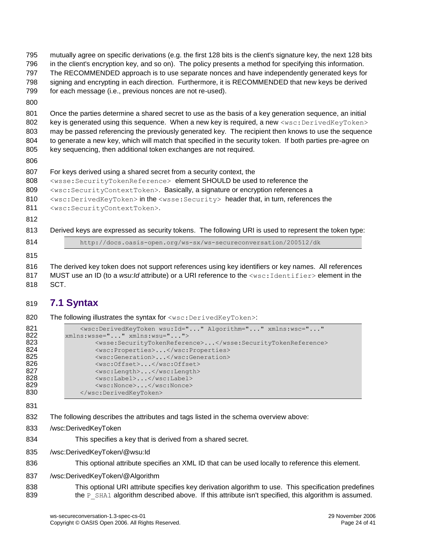mutually agree on specific derivations (e.g. the first 128 bits is the client's signature key, the next 128 bits in the client's encryption key, and so on). The policy presents a method for specifying this information. The RECOMMENDED approach is to use separate nonces and have independently generated keys for signing and encrypting in each direction. Furthermore, it is RECOMMENDED that new keys be derived for each message (i.e., previous nonces are not re-used). Once the parties determine a shared secret to use as the basis of a key generation sequence, an initial 802 key is generated using this sequence. When a new key is required, a new  $\langle$ wsc:DerivedKeyToken> may be passed referencing the previously generated key. The recipient then knows to use the sequence to generate a new key, which will match that specified in the security token. If both parties pre-agree on key sequencing, then additional token exchanges are not required. For keys derived using a shared secret from a security context, the <wsse:SecurityTokenReference> element SHOULD be used to reference the 809 <wsc:SecurityContextToken>. Basically, a signature or encryption references a 810 <wsc:DerivedKeyToken> in the <wsse:Security> header that, in turn, references the 811 <wsc: SecurityContextToken>. Derived keys are expressed as security tokens. The following URI is used to represent the token type: http://docs.oasis-open.org/ws-sx/ws-secureconversation/200512/dk The derived key token does not support references using key identifiers or key names. All references

817 MUST use an ID (to a *wsu:Id* attribute) or a URI reference to the <wsc:Identifier> element in the SCT.

### <span id="page-23-0"></span>**7.1 Syntax**

820 The following illustrates the syntax for <wsc: DerivedKeyToken>:

| 821 | <wsc:derivedkeytoken <="" algorithm="" th="" wsu:id="" xmlns:wsc=""></wsc:derivedkeytoken> |
|-----|--------------------------------------------------------------------------------------------|
| 822 | xmlns:wsse="" xmlns:wsu="">                                                                |
| 823 | <wsse:securitytokenreference></wsse:securitytokenreference>                                |
| 824 | <wsc:properties></wsc:properties>                                                          |
| 825 | <wsc:generation></wsc:generation>                                                          |
| 826 | <wsc:offset></wsc:offset>                                                                  |
| 827 | <wsc:length></wsc:length>                                                                  |
| 828 | <wsc:label></wsc:label>                                                                    |
| 829 | $\langle$ wsc:Nonce> $\langle$ /wsc:Nonce>                                                 |
| 830 |                                                                                            |

- The following describes the attributes and tags listed in the schema overview above:
- /wsc:DerivedKeyToken
- This specifies a key that is derived from a shared secret.
- /wsc:DerivedKeyToken/@wsu:Id
- 836 This optional attribute specifies an XML ID that can be used locally to reference this element.
- /wsc:DerivedKeyToken/@Algorithm
- This optional URI attribute specifies key derivation algorithm to use. This specification predefines 839 the P\_SHA1 algorithm described above. If this attribute isn't specified, this algorithm is assumed.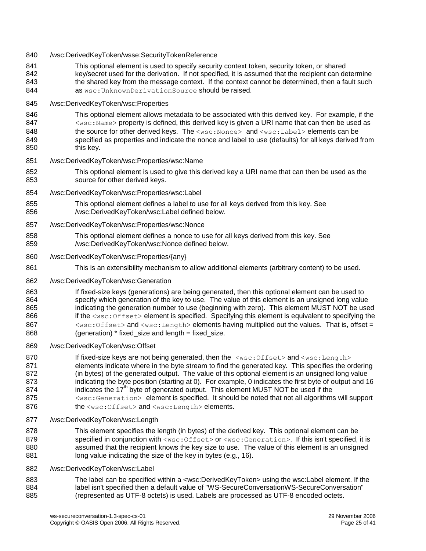- 840 /wsc:DerivedKeyToken/wsse:SecurityTokenReference
- This optional element is used to specify security context token, security token, or shared 842 key/secret used for the derivation. If not specified, it is assumed that the recipient can determine 843 the shared key from the message context. If the context cannot be determined, then a fault such **as** wsc: UnknownDerivationSource **should be raised.**
- /wsc:DerivedKeyToken/wsc:Properties
- This optional element allows metadata to be associated with this derived key. For example, if the <wsc:Name> property is defined, this derived key is given a URI name that can then be used as 848 the source for other derived keys. The <wsc:Nonce> and <wsc:Label> elements can be specified as properties and indicate the nonce and label to use (defaults) for all keys derived from 850 this key.
- /wsc:DerivedKeyToken/wsc:Properties/wsc:Name
- This optional element is used to give this derived key a URI name that can then be used as the source for other derived keys.
- /wsc:DerivedKeyToken/wsc:Properties/wsc:Label
- This optional element defines a label to use for all keys derived from this key. See /wsc:DerivedKeyToken/wsc:Label defined below.
- /wsc:DerivedKeyToken/wsc:Properties/wsc:Nonce
- This optional element defines a nonce to use for all keys derived from this key. See /wsc:DerivedKeyToken/wsc:Nonce defined below.
- /wsc:DerivedKeyToken/wsc:Properties/{any}
- This is an extensibility mechanism to allow additional elements (arbitrary content) to be used.
- /wsc:DerivedKeyToken/wsc:Generation
- If fixed-size keys (generations) are being generated, then this optional element can be used to specify which generation of the key to use. The value of this element is an unsigned long value indicating the generation number to use (beginning with zero). This element MUST NOT be used 866 if the <wsc:Offset> element is specified. Specifying this element is equivalent to specifying the 867  $\leq$ sc:Offset> and  $\leq$ sc:Length> elements having multiplied out the values. That is, offset = 868 (generation) \* fixed size and length = fixed size.
- /wsc:DerivedKeyToken/wsc:Offset

870 If fixed-size keys are not being generated, then the  $\langle$ wsc:Offset> and  $\langle$ wsc:Length> 871 elements indicate where in the byte stream to find the generated key. This specifies the ordering (in bytes) of the generated output. The value of this optional element is an unsigned long value 873 indicating the byte position (starting at 0). For example, 0 indicates the first byte of output and 16 874 byte of generated output. This element MUST NOT be used if the 875 <wsc:Generation> element is specified. It should be noted that not all algorithms will support 876 the <wsc:Offset> and <wsc:Length> elements.

- /wsc:DerivedKeyToken/wsc:Length
- This element specifies the length (in bytes) of the derived key. This optional element can be 879 specified in conjunction with <wsc:Offset> or <wsc:Generation>. If this isn't specified, it is assumed that the recipient knows the key size to use. The value of this element is an unsigned 881 long value indicating the size of the key in bytes (e.g., 16).
- /wsc:DerivedKeyToken/wsc:Label
- 883 The label can be specified within a <wsc:DerivedKeyToken> using the wsc:Label element. If the label isn't specified then a default value of "WS-SecureConversationWS-SecureConversation" (represented as UTF-8 octets) is used. Labels are processed as UTF-8 encoded octets.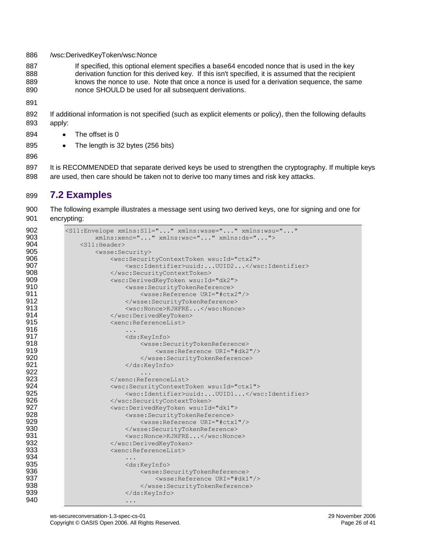/wsc:DerivedKeyToken/wsc:Nonce

887 If specified, this optional element specifies a base64 encoded nonce that is used in the key derivation function for this derived key. If this isn't specified, it is assumed that the recipient knows the nonce to use. Note that once a nonce is used for a derivation sequence, the same nonce SHOULD be used for all subsequent derivations.

- 
- If additional information is not specified (such as explicit elements or policy), then the following defaults apply:
- 894 The offset is 0
- 895 The length is 32 bytes (256 bits)
- 

897 It is RECOMMENDED that separate derived keys be used to strengthen the cryptography. If multiple keys are used, then care should be taken not to derive too many times and risk key attacks.

### <span id="page-25-0"></span>**7.2 Examples**

 The following example illustrates a message sent using two derived keys, one for signing and one for encrypting:

```
902 <s11:Envelope xmlns:S11="..." xmlns:wsse="..." xmlns:wsu="..."<br>903 xmlns:xenc="..." xmlns:wsc="..." xmlns:ds="...">
903 xmlns:xenc="..." xmlns:wsc="..." xmlns:ds="..."><br>904 <S11:Header>
904 <s11:Header><br>905 <s11:Header>
                 905 <wsse:Security>
906 (wsc:SecurityContextToken wsu:Id="ctx2">
907 <wsc:Identifier>uuid:...UUID2...</wsc:Identifier><br>908 <wsc:SecurityContextToken>
908 </wsc:SecurityContextToken>
909 <wsc:DerivedKeyToken wsu:Id="dk2">
910 <wsse:SecurityTokenReference>
                             911 <wsse:Reference URI="#ctx2"/>
912 \langle/wsse:SecurityTokenReference>
913 Samuel Allie Australian Structure (West:Nonce>KJHFRE...</wsc:Nonce>
914 </wsc:DerivedKeyToken><br>915 <wenc:ReferenceList>
                     915 <xenc:ReferenceList>
916<br>917
917 <ds:KeyInfo>
                             918 <wsse:SecurityTokenReference>
919 <wsse:Reference URI="#dk2"/>
920 SecurityTokenReference>
921 </ds:KeyInfo>
922 . The contract of the contract of the contract of the contract of the contract of the contract of the contract of the contract of the contract of the contract of the contract of the contract of the contract of the c
923 </xenc:ReferenceList><br>924 <wsc:SecurityContextT
924 <wsc:SecurityContextToken wsu:Id="ctx1">
                         925 <wsc:Identifier>uuid:...UUID1...</wsc:Identifier>
926 </wsc:SecurityContextToken>
927 <wsc:DerivedKeyToken wsu:Id="dk1">
                         928 <wsse:SecurityTokenReference>
929 <wsse:Reference URI="#ctx1"/><br>930 </wsse:SecurityTokenReference>
930 </wsse:SecurityTokenReference>
931 <wsc:Nonce>KJHFRE...</wsc:Nonce><br>932 </wsc:DerivedKeyToken>
                     932 </wsc:DerivedKeyToken>
933 Samuel Communication (Stenc:ReferenceList>
934 ...
935 <ds:KeyInfo>
936 <wsse:SecurityTokenReference>
937 <wsse:Reference URI="#dk1"/>
938 </wsse:SecurityTokenReference><br>939 </ds:KeyInfo>
939 </ds:KeyInfo>
940 ...
```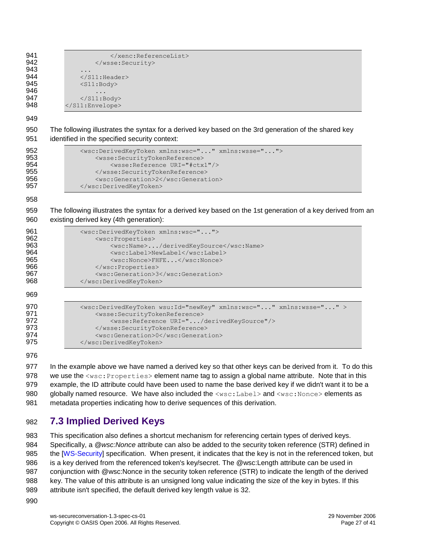941 </xenc:ReferenceList><br>942 </wsse:Security> </wsse:Security> ... 944  $\langle$ /S11:Header><br>945  $\langle$ S11:Body> <S11:Body> ...  $\langle$ /S11:Body> 948 </s11:Envelope> The following illustrates the syntax for a derived key based on the 3rd generation of the shared key identified in the specified security context: 952 <wsc:DerivedKeyToken xmlns:wsc="..." xmlns:wsse="..."><br>953 <wsse:SecurityTokenReference> <wsse:SecurityTokenReference> 954 <wsse:Reference URI="#ctx1"/> 955 </wsse:SecurityTokenReference><br>956 <wsc:Generation>2</wsc:Generat <wsc:Generation>2</wsc:Generation> 957 </wsc:DerivedKeyToken> The following illustrates the syntax for a derived key based on the 1st generation of a key derived from an existing derived key (4th generation): <wsc:DerivedKeyToken xmlns:wsc="..."> <wsc:Properties> 963 <wsc:Name>.../derivedKeySource</wsc:Name> 964 <wsc:Label>NewLabel</wsc:Label>965<br>965 <wsc:Nonce>FHFE...</wsc:Nonce> <wsc:Nonce>FHFE...</wsc:Nonce> 966 </wsc:Properties><br>967 <wsc:Generation>3

968 </wsc:DerivedKeyToken>  $0<sub>2</sub>$ 

| 909                                    |                                                                                                                                                                                                                                                                       |
|----------------------------------------|-----------------------------------------------------------------------------------------------------------------------------------------------------------------------------------------------------------------------------------------------------------------------|
| 970<br>971<br>972<br>973<br>974<br>975 | <wsc:derivedkeytoken wsu:id="newKey" xmlns:wsc="" xmlns:wsse=""><br/><wsse:securitytokenreference><br/><wsse:reference uri="/derivedKeySource"></wsse:reference><br/></wsse:securitytokenreference><br/><wsc:generation>0</wsc:generation><br/></wsc:derivedkeytoken> |
|                                        |                                                                                                                                                                                                                                                                       |

<wsc:Generation>3</wsc:Generation>

977 In the example above we have named a derived key so that other keys can be derived from it. To do this 978 we use the <wsc: Properties> element name tag to assign a global name attribute. Note that in this example, the ID attribute could have been used to name the base derived key if we didn't want it to be a 980 globally named resource. We have also included the <wsc:Label> and <wsc:Nonce> elements as metadata properties indicating how to derive sequences of this derivation.

### <span id="page-26-0"></span>**7.3 Implied Derived Keys**

 This specification also defines a shortcut mechanism for referencing certain types of derived keys. Specifically, a *@wsc:Nonce* attribute can also be added to the security token reference (STR) defined in 985 the [\[WS-Security\]](#page-6-0) specification. When present, it indicates that the key is not in the referenced token, but is a key derived from the referenced token's key/secret. The @wsc:Length attribute can be used in conjunction with @wsc:Nonce in the security token reference (STR) to indicate the length of the derived key. The value of this attribute is an unsigned long value indicating the size of the key in bytes. If this attribute isn't specified, the default derived key length value is 32.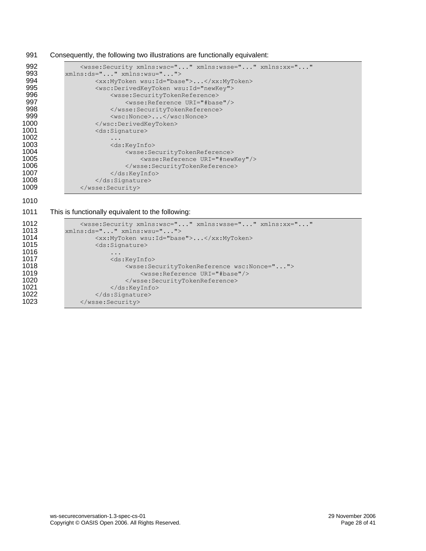#### 991 Consequently, the following two illustrations are functionally equivalent:

```
992 <wsse:Security xmlns:wsc="..." xmlns:wsse="..." xmlns:xx="..." 
993 xmlns:ds="..." xmlns:wsu="...">
994 <xx:MyToken wsu:Id="base">...</xx:MyToken><br>995 <wsc:DerivedKeyToken wsu:Id="newKey">
995 <wsc:DerivedKeyToken wsu:Id="newKey">
996 <wsse:SecurityTokenReference>
997 <br>
Webset:Reference URI="#base"/><br>
998 <br>
Vesse:SecurityTokenReference>
998 </wsse:SecurityTokenReference>
999 <wsc:Nonce>...</wsc:Nonce><br>1000 </wsc:DerivedKevToken>
1000 </wsc:DerivedKeyToken><br>1001 <ds:Signature>
                  <ds:Signature>
1002 ...<br>1003 ...
1003 <ds:KeyInfo>
1004 <wsse:SecurityTokenReference>
1005 <wsse:Reference URI="#newKey"/>
1006 </wsse:SecurityTokenReference><br>1007 </ds:KevInfo>
1007 </ds:KeyInfo><br>1008 </ds:Signature>
1008 </ds:Signature><br>1009 </wsse:Security>
              </wsse:Security>
```
1010

#### 1011 This is functionally equivalent to the following:

```
1012 <wsse:Security xmlns:wsc="..." xmlns:wsse="..." xmlns:xx="..."<br>1013 xmlns:ds="..." xmlns:wsu="...">
1013 xmlns:ds="..." xmlns:wsu="..."><br>1014 <xx:MyToken wsu:Id="base
1014 \langle x, x : MyToken wsu:Id="base">...\langle x, x : MyToken \rangle<br>1015 \langle ds : Sianature \rangle<ds:Signature>
1016 ...
1017 <ds:KeyInfo>
1018 <wsse:SecurityTokenReference wsc:Nonce="...">
1019 <wsse:Reference URI="#base"/>
1020 </wsse:SecurityTokenReference><br>1021 </ds:KeyInfo>
1021 </ds:KeyInfo><br>1022 </ds:Signature>
1022 </ds:Signature><br>1023 </wsse:Security>
                </wsse:Security>
```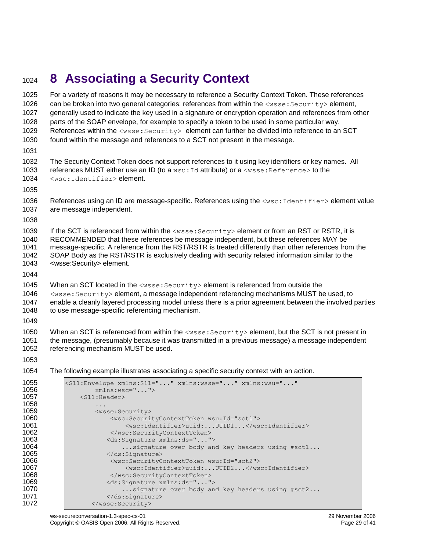## <span id="page-28-0"></span>**8 Associating a Security Context**

| 1025         | For a variety of reasons it may be necessary to reference a Security Context Token. These references        |
|--------------|-------------------------------------------------------------------------------------------------------------|
| 1026         | can be broken into two general categories: references from within the <wsse: security=""> element,</wsse:>  |
| 1027         | generally used to indicate the key used in a signature or encryption operation and references from other    |
| 1028         | parts of the SOAP envelope, for example to specify a token to be used in some particular way.               |
| 1029         | References within the <wsse: security=""> element can further be divided into reference to an SCT</wsse:>   |
| 1030         | found within the message and references to a SCT not present in the message.                                |
| 1031         |                                                                                                             |
| 1032         | The Security Context Token does not support references to it using key identifiers or key names. All        |
| 1033         | references MUST either use an ID (to a wsu: Id attribute) or a <wsse: reference=""> to the</wsse:>          |
| 1034         | <wsc:identifier>element.</wsc:identifier>                                                                   |
| 1035         |                                                                                                             |
| 1036         | References using an ID are message-specific. References using the <wsc: identifier=""> element value</wsc:> |
| 1037         | are message independent.                                                                                    |
| 1038         |                                                                                                             |
| 1039         | If the SCT is referenced from within the <wsse: security=""> element or from an RST or RSTR, it is</wsse:>  |
| 1040         | RECOMMENDED that these references be message independent, but these references MAY be                       |
| 1041         | message-specific. A reference from the RST/RSTR is treated differently than other references from the       |
| 1042         | SOAP Body as the RST/RSTR is exclusively dealing with security related information similar to the           |
| 1043         | <wsse:security> element.</wsse:security>                                                                    |
| 1044         |                                                                                                             |
| 1045         | When an SCT located in the <wsse: security=""> element is referenced from outside the</wsse:>               |
| 1046         | <wsse: security=""> element, a message independent referencing mechanisms MUST be used, to</wsse:>          |
| 1047         | enable a cleanly layered processing model unless there is a prior agreement between the involved parties    |
| 1048         | to use message-specific referencing mechanism.                                                              |
| 1049         |                                                                                                             |
| 1050         | When an SCT is referenced from within the $\langle$ wsse: Security> element, but the SCT is not present in  |
| 1051         | the message, (presumably because it was transmitted in a previous message) a message independent            |
| 1052         | referencing mechanism MUST be used.                                                                         |
| 1053         |                                                                                                             |
| 1054         | The following example illustrates associating a specific security context with an action.                   |
| 1055         |                                                                                                             |
| 1056         | <s11:envelope <br="" xmlns:s11="" xmlns:wsse="" xmlns:wsu="">xmlns:wsc=""&gt;</s11:envelope>                |
| 1057         | $<$ S11:Header>                                                                                             |
| 1058         |                                                                                                             |
| 1059         | <wsse:security></wsse:security>                                                                             |
| 1060         | <wsc:securitycontexttoken wsu:id="sct1"></wsc:securitycontexttoken>                                         |
| 1061         | <wsc:identifier>uuid:UUID1</wsc:identifier>                                                                 |
| 1062<br>1063 | <br><ds:signature xmlns:ds=""></ds:signature>                                                               |
| 1064         | signature over body and key headers using #sctl                                                             |
| 1065         |                                                                                                             |
| 1066         | <wsc:securitycontexttoken wsu:id="sct2"></wsc:securitycontexttoken>                                         |
| 1067         | <wsc:identifier>uuid:UUID2</wsc:identifier>                                                                 |
| 1068         |                                                                                                             |
| 1069         | <ds:signature xmlns:ds=""></ds:signature>                                                                   |
| 1070         | signature over body and key headers using #sct2                                                             |
| 1071<br>1072 | <br>                                                                                                        |
|              |                                                                                                             |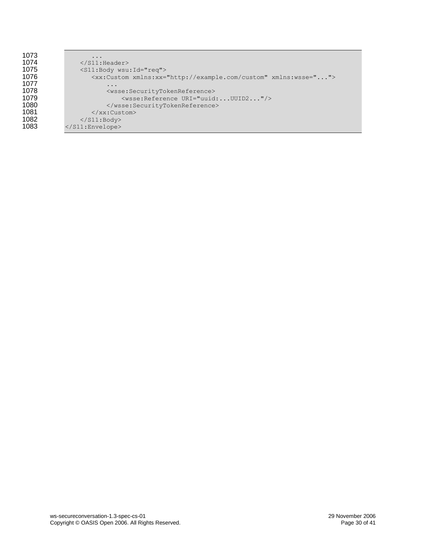| 1073 | $\ddotsc$                                                                  |
|------|----------------------------------------------------------------------------|
| 1074 | $\langle$ /S11:Header>                                                     |
| 1075 | <s11:body wsu:id="req"></s11:body>                                         |
| 1076 | <xx:custom xmlns:wsse="" xmlns:xx="http://example.com/custom"></xx:custom> |
| 1077 | $\ddotsc$                                                                  |
| 1078 | <wsse:securitytokenreference></wsse:securitytokenreference>                |
| 1079 | <wsse: reference="" uri="uuid:UUID2"></wsse:>                              |
| 1080 |                                                                            |
| 1081 | $\langle$ /xx:Custom>                                                      |
| 1082 | $\langle$ /S11:Body>                                                       |
| 1083 | $\langle$ /S11:Envelope>                                                   |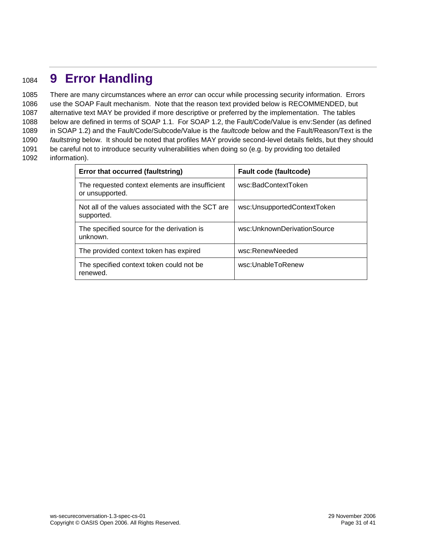## <span id="page-30-0"></span><sup>1084</sup> **9 Error Handling**

 There are many circumstances where an *error* can occur while processing security information. Errors use the SOAP Fault mechanism. Note that the reason text provided below is RECOMMENDED, but alternative text MAY be provided if more descriptive or preferred by the implementation. The tables below are defined in terms of SOAP 1.1. For SOAP 1.2, the Fault/Code/Value is env:Sender (as defined in SOAP 1.2) and the Fault/Code/Subcode/Value is the *faultcode* below and the Fault/Reason/Text is the *faultstring* below. It should be noted that profiles MAY provide second-level details fields, but they should be careful not to introduce security vulnerabilities when doing so (e.g. by providing too detailed information).

| Error that occurred (faultstring)                                  | Fault code (faultcode)      |  |
|--------------------------------------------------------------------|-----------------------------|--|
| The requested context elements are insufficient<br>or unsupported. | wsc:BadContextToken         |  |
| Not all of the values associated with the SCT are<br>supported.    | wsc:UnsupportedContextToken |  |
| The specified source for the derivation is<br>unknown.             | wsc:UnknownDerivationSource |  |
| The provided context token has expired                             | wsc:RenewNeeded             |  |
| The specified context token could not be<br>renewed.               | wsc:UnableToRenew           |  |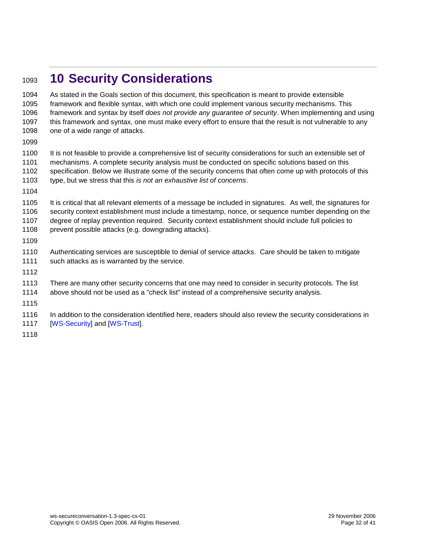## <span id="page-31-0"></span>**10 Security Considerations**

 As stated in the Goals section of this document, this specification is meant to provide extensible framework and flexible syntax, with which one could implement various security mechanisms. This framework and syntax by itself *does not provide any guarantee of security*. When implementing and using this framework and syntax, one must make every effort to ensure that the result is not vulnerable to any 1098 one of a wide range of attacks.

1100 It is not feasible to provide a comprehensive list of security considerations for such an extensible set of mechanisms. A complete security analysis must be conducted on specific solutions based on this specification. Below we illustrate some of the security concerns that often come up with protocols of this type, but we stress that this *is not an exhaustive list of concerns*.

 It is critical that all relevant elements of a message be included in signatures. As well, the signatures for security context establishment must include a timestamp, nonce, or sequence number depending on the degree of replay prevention required. Security context establishment should include full policies to 1108 prevent possible attacks (e.g. downgrading attacks).

 Authenticating services are susceptible to denial of service attacks. Care should be taken to mitigate such attacks as is warranted by the service.

There are many other security concerns that one may need to consider in security protocols. The list

above should not be used as a "check list" instead of a comprehensive security analysis.

 In addition to the consideration identified here, readers should also review the security considerations in **[\[WS-Security\]](#page-6-0) and [\[WS-Trust\]](#page-6-2).**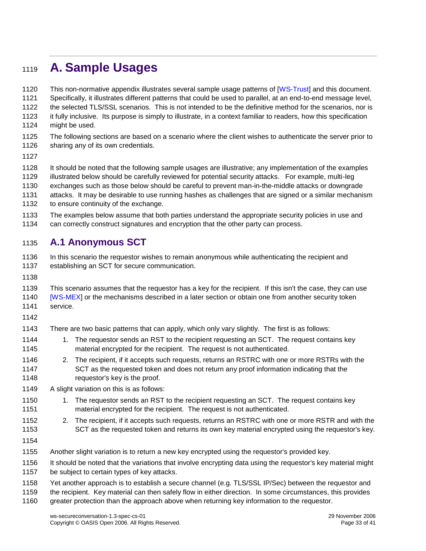## <span id="page-32-0"></span>**A. Sample Usages**

 This non-normative appendix illustrates several sample usage patterns of [\[WS-Trust\]](#page-6-2) and this document. Specifically, it illustrates different patterns that could be used to parallel, at an end-to-end message level, the selected TLS/SSL scenarios. This is not intended to be the definitive method for the scenarios, nor is

 it fully inclusive. Its purpose is simply to illustrate, in a context familiar to readers, how this specification might be used.

- The following sections are based on a scenario where the client wishes to authenticate the server prior to
- sharing any of its own credentials.
- 
- It should be noted that the following sample usages are illustrative; any implementation of the examples
- illustrated below should be carefully reviewed for potential security attacks. For example, multi-leg
- exchanges such as those below should be careful to prevent man-in-the-middle attacks or downgrade
- attacks. It may be desirable to use running hashes as challenges that are signed or a similar mechanism 1132 to ensure continuity of the exchange.
- The examples below assume that both parties understand the appropriate security policies in use and
- can correctly construct signatures and encryption that the other party can process.

### <span id="page-32-1"></span>**A.1 Anonymous SCT**

 In this scenario the requestor wishes to remain anonymous while authenticating the recipient and establishing an SCT for secure communication.

 This scenario assumes that the requestor has a key for the recipient. If this isn't the case, they can use [\[WS-MEX\]](#page-7-4) or the mechanisms described in a later section or obtain one from another security token

- service.
- 
- There are two basic patterns that can apply, which only vary slightly. The first is as follows:
- 1144 1. The requestor sends an RST to the recipient requesting an SCT. The request contains key material encrypted for the recipient. The request is not authenticated.
- 2. The recipient, if it accepts such requests, returns an RSTRC with one or more RSTRs with the SCT as the requested token and does not return any proof information indicating that the requestor's key is the proof.
- A slight variation on this is as follows:
- 1150 1. The requestor sends an RST to the recipient requesting an SCT. The request contains key material encrypted for the recipient. The request is not authenticated.
- 2. The recipient, if it accepts such requests, returns an RSTRC with one or more RSTR and with the SCT as the requested token and returns its own key material encrypted using the requestor's key.
- 
- Another slight variation is to return a new key encrypted using the requestor's provided key.
- It should be noted that the variations that involve encrypting data using the requestor's key material might
- be subject to certain types of key attacks.
- Yet another approach is to establish a secure channel (e.g. TLS/SSL IP/Sec) between the requestor and
- the recipient. Key material can then safely flow in either direction. In some circumstances, this provides
- greater protection than the approach above when returning key information to the requestor.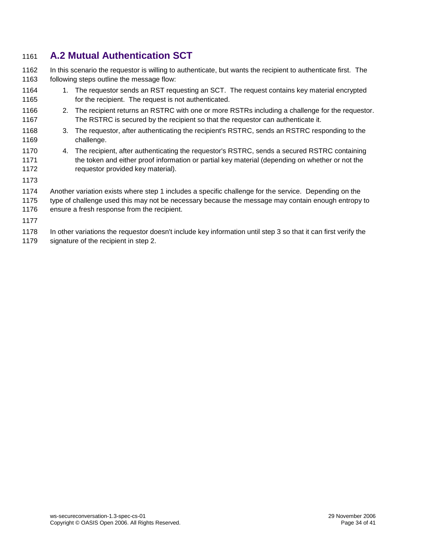### <span id="page-33-0"></span>**A.2 Mutual Authentication SCT**

 In this scenario the requestor is willing to authenticate, but wants the recipient to authenticate first. The following steps outline the message flow:

- 1164 1. The requestor sends an RST requesting an SCT. The request contains key material encrypted 1165 for the recipient. The request is not authenticated.
- 2. The recipient returns an RSTRC with one or more RSTRs including a challenge for the requestor. The RSTRC is secured by the recipient so that the requestor can authenticate it.
- 3. The requestor, after authenticating the recipient's RSTRC, sends an RSTRC responding to the challenge.
- 4. The recipient, after authenticating the requestor's RSTRC, sends a secured RSTRC containing the token and either proof information or partial key material (depending on whether or not the requestor provided key material).
- 
- Another variation exists where step 1 includes a specific challenge for the service. Depending on the
- type of challenge used this may not be necessary because the message may contain enough entropy to ensure a fresh response from the recipient.
- 
- In other variations the requestor doesn't include key information until step 3 so that it can first verify the
- signature of the recipient in step 2.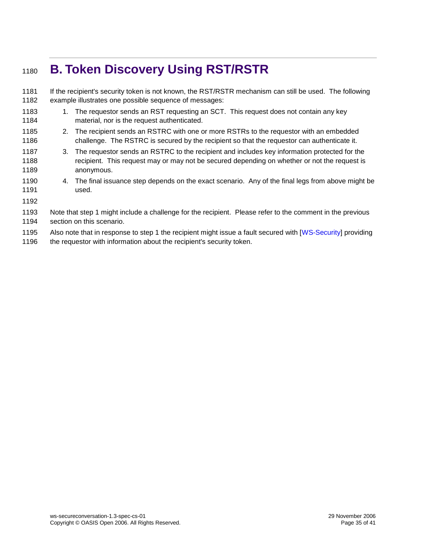## <span id="page-34-0"></span>**B. Token Discovery Using RST/RSTR**

 If the recipient's security token is not known, the RST/RSTR mechanism can still be used. The following example illustrates one possible sequence of messages: 1183 1. The requestor sends an RST requesting an SCT. This request does not contain any key material, nor is the request authenticated. 2. The recipient sends an RSTRC with one or more RSTRs to the requestor with an embedded challenge. The RSTRC is secured by the recipient so that the requestor can authenticate it. 3. The requestor sends an RSTRC to the recipient and includes key information protected for the 1188 recipient. This request may or may not be secured depending on whether or not the request is anonymous. 4. The final issuance step depends on the exact scenario. Any of the final legs from above might be used. Note that step 1 might include a challenge for the recipient. Please refer to the comment in the previous section on this scenario. 1195 Also note that in response to step 1 the recipient might issue a fault secured with [\[WS-Security\]](#page-6-0) providing 1196 the requestor with information about the recipient's security token.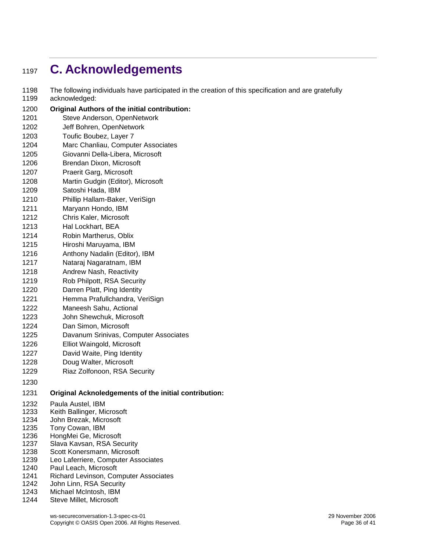## <span id="page-35-0"></span>**C. Acknowledgements**

- The following individuals have participated in the creation of this specification and are gratefully acknowledged:
- **Original Authors of the initial contribution:** Steve Anderson, OpenNetwork Jeff Bohren, OpenNetwork Toufic Boubez, Layer 7 Marc Chanliau, Computer Associates Giovanni Della-Libera, Microsoft Brendan Dixon, Microsoft Praerit Garg, Microsoft
- Martin Gudgin (Editor), Microsoft
- Satoshi Hada, IBM
- Phillip Hallam-Baker, VeriSign
- Maryann Hondo, IBM
- Chris Kaler, Microsoft Hal Lockhart, BEA
- Robin Martherus, Oblix
- Hiroshi Maruyama, IBM
- Anthony Nadalin (Editor), IBM
- Nataraj Nagaratnam, IBM
- Andrew Nash, Reactivity
- Rob Philpott, RSA Security
- Darren Platt, Ping Identity
- Hemma Prafullchandra, VeriSign
- Maneesh Sahu, Actional
- John Shewchuk, Microsoft
- Dan Simon, Microsoft
- Davanum Srinivas, Computer Associates
- Elliot Waingold, Microsoft
- David Waite, Ping Identity
- Doug Walter, Microsoft
- Riaz Zolfonoon, RSA Security
- 

#### **Original Acknoledgements of the initial contribution:**

- Paula Austel, IBM
- Keith Ballinger, Microsoft
- John Brezak, Microsoft
- Tony Cowan, IBM
- HongMei Ge, Microsoft
- Slava Kavsan, RSA Security
- Scott Konersmann, Microsoft
- Leo Laferriere, Computer Associates
- Paul Leach, Microsoft
- Richard Levinson, Computer Associates
- John Linn, RSA Security
- Michael McIntosh, IBM
- Steve Millet, Microsoft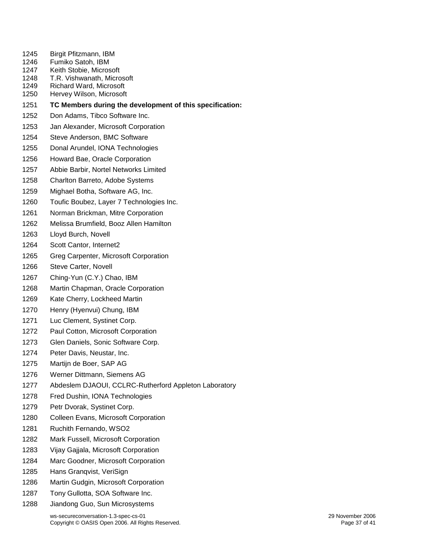- Birgit Pfitzmann, IBM
- Fumiko Satoh, IBM
- Keith Stobie, Microsoft
- T.R. Vishwanath, Microsoft
- Richard Ward, Microsoft
- Hervey Wilson, Microsoft
- **TC Members during the development of this specification:**
- Don Adams, Tibco Software Inc.
- Jan Alexander, Microsoft Corporation
- Steve Anderson, BMC Software
- Donal Arundel, IONA Technologies
- Howard Bae, Oracle Corporation
- Abbie Barbir, Nortel Networks Limited
- Charlton Barreto, Adobe Systems
- Mighael Botha, Software AG, Inc.
- Toufic Boubez, Layer 7 Technologies Inc.
- Norman Brickman, Mitre Corporation
- Melissa Brumfield, Booz Allen Hamilton
- Lloyd Burch, Novell
- Scott Cantor, Internet2
- Greg Carpenter, Microsoft Corporation
- Steve Carter, Novell
- Ching-Yun (C.Y.) Chao, IBM
- Martin Chapman, Oracle Corporation
- Kate Cherry, Lockheed Martin
- Henry (Hyenvui) Chung, IBM
- Luc Clement, Systinet Corp.
- Paul Cotton, Microsoft Corporation
- Glen Daniels, Sonic Software Corp.
- Peter Davis, Neustar, Inc.
- Martijn de Boer, SAP AG
- Werner Dittmann, Siemens AG
- Abdeslem DJAOUI, CCLRC-Rutherford Appleton Laboratory
- Fred Dushin, IONA Technologies
- Petr Dvorak, Systinet Corp.
- Colleen Evans, Microsoft Corporation
- Ruchith Fernando, WSO2
- Mark Fussell, Microsoft Corporation
- Vijay Gajjala, Microsoft Corporation
- Marc Goodner, Microsoft Corporation
- Hans Granqvist, VeriSign
- Martin Gudgin, Microsoft Corporation
- Tony Gullotta, SOA Software Inc.
- Jiandong Guo, Sun Microsystems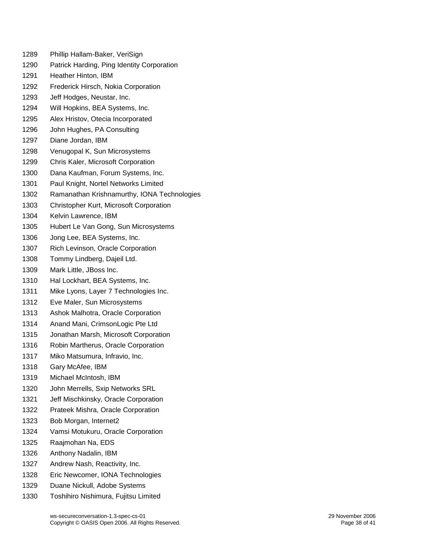- Phillip Hallam-Baker, VeriSign
- Patrick Harding, Ping Identity Corporation
- Heather Hinton, IBM
- Frederick Hirsch, Nokia Corporation
- Jeff Hodges, Neustar, Inc.
- Will Hopkins, BEA Systems, Inc.
- Alex Hristov, Otecia Incorporated
- John Hughes, PA Consulting
- Diane Jordan, IBM
- Venugopal K, Sun Microsystems
- Chris Kaler, Microsoft Corporation
- Dana Kaufman, Forum Systems, Inc.
- Paul Knight, Nortel Networks Limited
- Ramanathan Krishnamurthy, IONA Technologies
- Christopher Kurt, Microsoft Corporation
- Kelvin Lawrence, IBM
- Hubert Le Van Gong, Sun Microsystems
- Jong Lee, BEA Systems, Inc.
- Rich Levinson, Oracle Corporation
- Tommy Lindberg, Dajeil Ltd.
- Mark Little, JBoss Inc.
- Hal Lockhart, BEA Systems, Inc.
- Mike Lyons, Layer 7 Technologies Inc.
- Eve Maler, Sun Microsystems
- Ashok Malhotra, Oracle Corporation
- Anand Mani, CrimsonLogic Pte Ltd
- Jonathan Marsh, Microsoft Corporation
- Robin Martherus, Oracle Corporation
- Miko Matsumura, Infravio, Inc.
- Gary McAfee, IBM
- Michael McIntosh, IBM
- John Merrells, Sxip Networks SRL
- Jeff Mischkinsky, Oracle Corporation
- Prateek Mishra, Oracle Corporation
- Bob Morgan, Internet2
- Vamsi Motukuru, Oracle Corporation
- Raajmohan Na, EDS
- Anthony Nadalin, IBM
- Andrew Nash, Reactivity, Inc.
- Eric Newcomer, IONA Technologies
- Duane Nickull, Adobe Systems
- Toshihiro Nishimura, Fujitsu Limited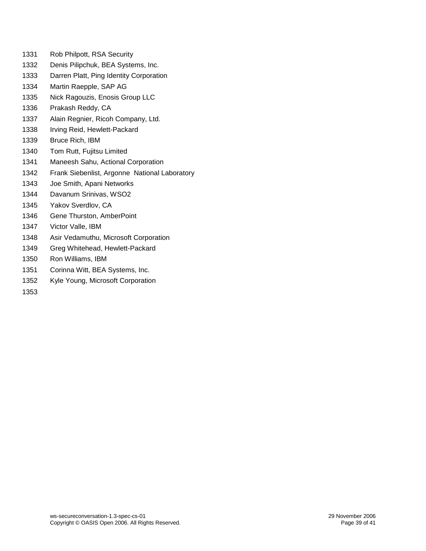- Rob Philpott, RSA Security
- Denis Pilipchuk, BEA Systems, Inc.
- Darren Platt, Ping Identity Corporation
- Martin Raepple, SAP AG
- Nick Ragouzis, Enosis Group LLC
- Prakash Reddy, CA
- Alain Regnier, Ricoh Company, Ltd.
- Irving Reid, Hewlett-Packard
- Bruce Rich, IBM
- Tom Rutt, Fujitsu Limited
- Maneesh Sahu, Actional Corporation
- Frank Siebenlist, Argonne National Laboratory
- Joe Smith, Apani Networks
- Davanum Srinivas, WSO2
- Yakov Sverdlov, CA
- Gene Thurston, AmberPoint
- Victor Valle, IBM
- Asir Vedamuthu, Microsoft Corporation
- Greg Whitehead, Hewlett-Packard
- Ron Williams, IBM
- Corinna Witt, BEA Systems, Inc.
- Kyle Young, Microsoft Corporation